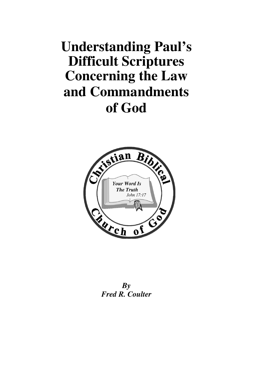**Understanding Paul's Difficult Scriptures Concerning the Law and Commandments of God** 



*By Fred R. Coulter*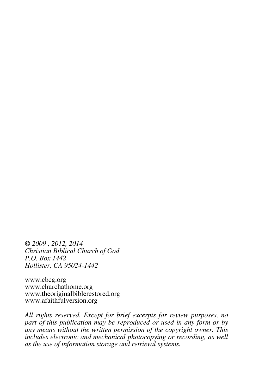*© 2009 , 2012, 2014 Christian Biblical Church of God P.O. Box 1442 Hollister, CA 95024-1442*

www.cbcg.org www.churchathome.org www.theoriginalbiblerestored.org www.afaithfulversion.org

*All rights reserved. Except for brief excerpts for review purposes, no part of this publication may be reproduced or used in any form or by any means without the written permission of the copyright owner. This includes electronic and mechanical photocopying or recording, as well as the use of information storage and retrieval systems.*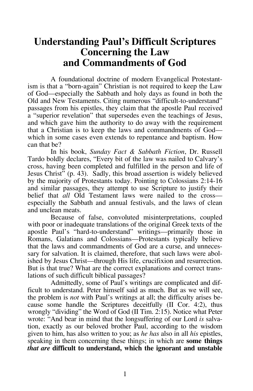# **Understanding Paul's Difficult Scriptures Concerning the Law and Commandments of God**

 A foundational doctrine of modern Evangelical Protestantism is that a "born-again" Christian is not required to keep the Law of God—especially the Sabbath and holy days as found in both the Old and New Testaments. Citing numerous "difficult-to-understand" passages from his epistles, they claim that the apostle Paul received a "superior revelation" that supersedes even the teachings of Jesus, and which gave him the authority to do away with the requirement that a Christian is to keep the laws and commandments of God which in some cases even extends to repentance and baptism. How can that be?

 In his book, *Sunday Fact & Sabbath Fiction*, Dr. Russell Tardo boldly declares, "Every bit of the law was nailed to Calvary's cross, having been completed and fulfilled in the person and life of Jesus Christ" (p. 43). Sadly, this broad assertion is widely believed by the majority of Protestants today. Pointing to Colossians 2:14-16 and similar passages, they attempt to use Scripture to justify their belief that *all* Old Testament laws were nailed to the cross especially the Sabbath and annual festivals, and the laws of clean and unclean meats.

 Because of false, convoluted misinterpretations, coupled with poor or inadequate translations of the original Greek texts of the apostle Paul's "hard-to-understand" writings—primarily those in Romans, Galatians and Colossians—Protestants typically believe that the laws and commandments of God are a curse, and unnecessary for salvation. It is claimed, therefore, that such laws were abolished by Jesus Christ—through His life, crucifixion and resurrection. But is that true? What are the correct explanations and correct translations of such difficult biblical passages?

 Admittedly, some of Paul's writings are complicated and difficult to understand. Peter himself said as much. But as we will see, the problem is *not* with Paul's writings at all; the difficulty arises because some handle the Scriptures deceitfully (II Cor. 4:2), thus wrongly "dividing" the Word of God (II Tim. 2:15). Notice what Peter wrote: "And bear in mind that the longsuffering of our Lord *is* salvation, exactly as our beloved brother Paul, according to the wisdom given to him, has also written to you; as *he has* also in all *his* epistles, speaking in them concerning these things; in which are **some things**  *that are* **difficult to understand, which the ignorant and unstable**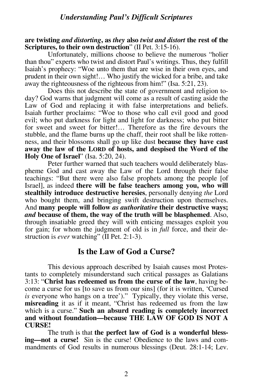#### **are twisting** *and distorting***, as** *they* **also** *twist and distort* **the rest of the Scriptures, to their own destruction**" (II Pet. 3:15-16).

 Unfortunately, millions choose to believe the numerous "holier than thou" experts who twist and distort Paul's writings. Thus, they fulfill Isaiah's prophecy: "Woe unto them that are wise in their own eyes, and prudent in their own sight!… Who justify the wicked for a bribe, and take away the righteousness of the righteous from him!" (Isa. 5:21, 23).

 Does this not describe the state of government and religion today? God warns that judgment will come as a result of casting aside the Law of God and replacing it with false interpretations and beliefs. Isaiah further proclaims: "Woe to those who call evil good and good evil; who put darkness for light and light for darkness; who put bitter for sweet and sweet for bitter!… Therefore as the fire devours the stubble, and the flame burns up the chaff, their root shall be like rottenness, and their blossoms shall go up like dust **because they have cast away the law of the LORD of hosts, and despised the Word of the Holy One of Israel**" (Isa. 5:20, 24).

 Peter further warned that such teachers would deliberately blaspheme God and cast away the Law of the Lord through their false teachings: "But there were also false prophets among the people [of Israel], as indeed **there will be false teachers among you, who will stealthily introduce destructive heresies**, personally denying *the* Lord who bought them, and bringing swift destruction upon themselves. And **many people will follow** *as authoritative* **their destructive ways;**  *and* **because of them, the way of the truth will be blasphemed**. Also, through insatiable greed they will with enticing messages exploit you for gain; for whom the judgment of old is in *full* force, and their destruction is *ever* watching" (II Pet. 2:1-3).

#### **Is the Law of God a Curse?**

 This devious approach described by Isaiah causes most Protestants to completely misunderstand such critical passages as Galatians 3:13: "**Christ has redeemed us from the curse of the law**, having become a curse for us [to save us from our sins] (for it is written, 'Cursed *is* everyone who hangs on a tree')." Typically, they violate this verse, **misreading** it as if it meant, "Christ has redeemed us from the law which is a curse." **Such an absurd reading is completely incorrect and without foundation—because THE LAW OF GOD IS NOT A CURSE!**

 The truth is that **the perfect law of God is a wonderful blessing—not a curse!** Sin is the curse! Obedience to the laws and commandments of God results in numerous blessings (Deut. 28:1-14; Lev.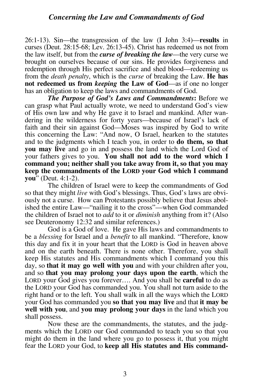26:1-13). Sin—the transgression of the law (I John 3:4)—**results** in curses (Deut. 28:15-68; Lev. 26:13-45). Christ has redeemed us not from the law itself, but from the *curse of breaking the law*—the very curse we brought on ourselves because of our sins. He provides forgiveness and redemption through His perfect sacrifice and shed blood—redeeming us from the *death penalty*, which is the *curse* of breaking the Law. **He has not redeemed us from** *keeping* **the Law of God**—as if one no longer has an obligation to keep the laws and commandments of God.

*The Purpose of God's Laws and Commandments***:** Before we can grasp what Paul actually wrote, we need to understand God's view of His own law and why He gave it to Israel and mankind. After wandering in the wilderness for forty years—because of Israel's lack of faith and their sin against God—Moses was inspired by God to write this concerning the Law: "And now, O Israel, hearken to the statutes and to the judgments which I teach you, in order to **do them, so that you may live** and go in and possess the land which the Lord God of your fathers gives to you. **You shall not add to the word which I command you; neither shall you take away from it, so that you may keep the commandments of the LORD your God which I command you**" (Deut. 4:1-2).

 The children of Israel were to keep the commandments of God so that they might *live* with God's blessings. Thus, God's laws are obviously not a curse. How can Protestants possibly believe that Jesus abolished the entire Law—"nailing it to the cross"—when God commanded the children of Israel not to *add* to it or *diminish* anything from it? (Also see Deuteronomy 12:32 and similar references.)

 God is a God of love. He gave His laws and commandments to be a *blessing* for Israel and a *benefit* to all mankind. "Therefore, know this day and fix it in your heart that the LORD is God in heaven above and on the earth beneath. There is none other. Therefore, you shall keep His statutes and His commandments which I command you this day, so **that it may go well with you** and with your children after you, and so **that you may prolong your days upon the earth**, which the LORD your God gives you forever…. And you shall be **careful** to do as the LORD your God has commanded you. You shall not turn aside to the right hand or to the left. You shall walk in all the ways which the LORD your God has commanded you **so that you may live** and that **it may be well with you**, and **you may prolong your days** in the land which you shall possess.

 Now these are the commandments, the statutes, and the judgments which the LORD our God commanded to teach you so that you might do them in the land where you go to possess it, that you might fear the LORD your God, to **keep all His statutes and His command-**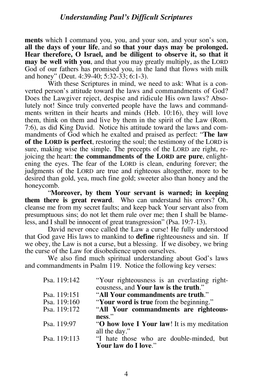**ments** which I command you, you, and your son, and your son's son, **all the days of your life**, and **so that your days may be prolonged. Hear therefore, O Israel, and be diligent to observe it, so that it may be well with you**, and that you may greatly multiply, as the LORD God of our fathers has promised you, in the land that flows with milk and honey" (Deut. 4:39-40; 5:32-33; 6:1-3).

With these Scriptures in mind, we need to ask: What is a converted person's attitude toward the laws and commandments of God? Does the Lawgiver reject, despise and ridicule His own laws? Absolutely not! Since truly converted people have the laws and commandments written in their hearts and minds (Heb. 10:16), they will love them, think on them and live by them in the spirit of the Law (Rom. 7:6), as did King David. Notice his attitude toward the laws and commandments of God which he exalted and praised as perfect: "**The law of the LORD is perfect**, restoring the soul; the testimony of the LORD is sure, making wise the simple. The precepts of the LORD are right, rejoicing the heart: **the commandments of the LORD are pure**, enlightening the eyes. The fear of the LORD is clean, enduring forever; the judgments of the LORD are true and righteous altogether, more to be desired than gold, yea, much fine gold; sweeter also than honey and the honeycomb.

 "**Moreover, by them Your servant is warned; in keeping them there is great reward**. Who can understand his errors? Oh, cleanse me from my secret faults; and keep back Your servant also from presumptuous sins; do not let them rule over me; then I shall be blameless, and I shall be innocent of great transgression" (Psa. 19:7-13).

 David never once called the Law a curse! He fully understood that God gave His laws to mankind to **define** righteousness and sin. If we obey, the Law is not a curse, but a blessing. If we disobey, we bring the curse of the Law for disobedience upon ourselves.

 We also find much spiritual understanding about God's laws and commandments in Psalm 119. Notice the following key verses:

| Psa. 119:142 | "Your righteousness is an everlasting right-<br>eousness, and Your law is the truth." |
|--------------|---------------------------------------------------------------------------------------|
| Psa. 119:151 | "All Your commandments are truth."                                                    |
| Psa. 119:160 | "Your word is true from the beginning."                                               |
| Psa. 119:172 | "All Your commandments are righteous-                                                 |
|              | ness."                                                                                |
| Psa. 119:97  | "O how love I Your law! It is my meditation                                           |
|              | all the day."                                                                         |
| Psa. 119:113 | "I hate those who are double-minded, but                                              |
|              | Your law do I love."                                                                  |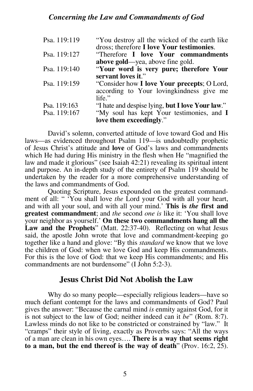| Psa. 119:119 | "You destroy all the wicked of the earth like"   |
|--------------|--------------------------------------------------|
|              | dross; therefore I love Your testimonies.        |
| Psa. 119:127 | "Therefore I love Your commandments"             |
|              | above gold—yea, above fine gold.                 |
| Psa. 119:140 | "Your word is very pure; therefore Your          |
|              | servant loves it."                               |
| Psa. 119:159 | "Consider how I love Your precepts; O Lord,      |
|              | according to Your loving kindness give me        |
|              | $l$ ife $"$                                      |
| Psa. 119:163 | "I hate and despise lying, but I love Your law." |
| Psa. 119:167 | "My soul has kept Your testimonies, and I        |
|              | love them exceedingly."                          |

 David's solemn, converted attitude of love toward God and His laws—as evidenced throughout Psalm 119—is undoubtedly prophetic of Jesus Christ's attitude and **love** of God's laws and commandments which He had during His ministry in the flesh when He "magnified the law and made it glorious" (see Isaiah 42:21) revealing its spiritual intent and purpose. An in-depth study of the entirety of Psalm 119 should be undertaken by the reader for a more comprehensive understanding of the laws and commandments of God.

 Quoting Scripture, Jesus expounded on the greatest commandment of all: " 'You shall love *the* Lord your God with all your heart, and with all your soul, and with all your mind.' **This is** *the* **first and greatest commandment**; and *the* second *one is* like it: 'You shall love your neighbor as yourself.' **On these two commandments hang all the**  Law and the Prophets" (Matt. 22:37-40). Reflecting on what Jesus said, the apostle John wrote that love and commandment-keeping go together like a hand and glove: "By this *standard* we know that we love the children of God: when we love God and keep His commandments. For this is the love of God: that we keep His commandments; and His commandments are not burdensome" (I John 5:2-3).

#### **Jesus Christ Did Not Abolish the Law**

 Why do so many people—especially religious leaders—have so much defiant contempt for the laws and commandments of God? Paul gives the answer: "Because the carnal mind *is* enmity against God, for it is not subject to the law of God; neither indeed can it *be*" (Rom. 8:7). Lawless minds do not like to be constricted or constrained by "law." It "cramps" their style of living, exactly as Proverbs says: "All the ways of a man are clean in his own eyes…. **There is a way that seems right to a man, but the end thereof is the way of death**" (Prov. 16:2, 25).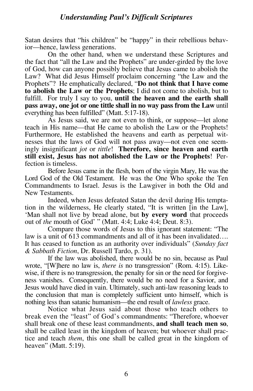Satan desires that "his children" be "happy" in their rebellious behavior—hence, lawless generations.

 On the other hand, when we understand these Scriptures and the fact that "all the Law and the Prophets" are under-girded by the love of God, how can anyone possibly believe that Jesus came to abolish the Law? What did Jesus Himself proclaim concerning "the Law and the Prophets"? He emphatically declared, "**Do not think that I have come to abolish the Law or the Prophets**; I did not come to abolish, but to fulfill. For truly I say to you, **until the heaven and the earth shall pass away, one jot or one tittle shall in no way pass from the Law** until everything has been fulfilled" (Matt. 5:17-18).

 As Jesus said, we are not even to think, or suppose—let alone teach in His name—that He came to abolish the Law or the Prophets! Furthermore, He established the heavens and earth as perpetual witnesses that the laws of God will not pass away—not even one seemingly insignificant *jot* or *tittle*! **Therefore, since heaven and earth still exist, Jesus has not abolished the Law or the Prophets**! Perfection is timeless.

 Before Jesus came in the flesh, born of the virgin Mary, He was the Lord God of the Old Testament. He was the One Who spoke the Ten Commandments to Israel. Jesus is the Lawgiver in both the Old and New Testaments.

 Indeed, when Jesus defeated Satan the devil during His temptation in the wilderness, He clearly stated, "It is written [in the Law], 'Man shall not live by bread alone, but **by every word** that proceeds out of *the* mouth of God' " (Matt. 4:4; Luke 4:4; Deut. 8:3).

 Compare those words of Jesus to this ignorant statement: "The law is a unit of 613 commandments and all of it has been invalidated…. It has ceased to function as an authority over individuals" (*Sunday fact & Sabbath Fiction*, Dr. Russell Tardo, p. 31).

 If the law was abolished, there would be no sin, because as Paul wrote, "[W]here no law is, *there is* no transgression" (Rom. 4:15). Likewise, if there is no transgression, the penalty for sin or the need for forgiveness vanishes. Consequently, there would be no need for a Savior, and Jesus would have died in vain. Ultimately, such anti-law reasoning leads to the conclusion that man is completely sufficient unto himself, which is nothing less than satanic humanism—the end result of *lawless* grace.

 Notice what Jesus said about those who teach others to break even the "least" of God's commandments: "Therefore, whoever shall break one of these least commandments, **and shall teach men so**, shall be called least in the kingdom of heaven; but whoever shall practice and teach *them*, this one shall be called great in the kingdom of heaven" (Matt. 5:19).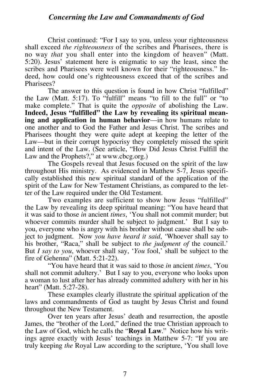Christ continued: "For I say to you, unless your righteousness shall exceed *the righteousness* of the scribes and Pharisees, there is no way *that* you shall enter into the kingdom of heaven" (Matt. 5:20). Jesus' statement here is enigmatic to say the least, since the scribes and Pharisees were well known for their "righteousness." Indeed, how could one's righteousness exceed that of the scribes and Pharisees?

The answer to this question is found in how Christ "fulfilled" the Law (Matt. 5:17). To "fulfill" means "to fill to the full" or "to make complete." That is quite the *opposite* of abolishing the Law. **Indeed, Jesus "fulfilled" the Law by revealing its spiritual meaning and application in human behavior**—in how humans relate to one another and to God the Father and Jesus Christ. The scribes and Pharisees thought they were quite adept at keeping the letter of the Law—but in their corrupt hypocrisy they completely missed the spirit and intent of the Law. (See article, "How Did Jesus Christ Fulfill the Law and the Prophets?," at www.cbcg.org.)

 The Gospels reveal that Jesus focused on the spirit of the law throughout His ministry. As evidenced in Matthew 5-7, Jesus specifically established this new spiritual standard of the application of the spirit of the Law for New Testament Christians, as compared to the letter of the Law required under the Old Testament.

 Two examples are sufficient to show how Jesus "fulfilled" the Law by revealing its deep spiritual meaning: "You have heard that it was said to those *in* ancient *times*, 'You shall not commit murder; but whoever commits murder shall be subject to judgment.' But I say to you, everyone who is angry with his brother without cause shall be subject to judgment. Now *you have heard it said*, 'Whoever shall say to his brother, "Raca," shall be subject to *the judgment of* the council.' But *I say to you*, whoever shall say, '*You* fool,' shall be subject to the fire of Gehenna" (Matt. 5:21-22).

 "You have heard that it was said to those *in* ancient *times*, 'You shall not commit adultery.' But I say to you, everyone who looks upon a woman to lust after her has already committed adultery with her in his heart" (Matt. 5:27-28).

 These examples clearly illustrate the spiritual application of the laws and commandments of God as taught by Jesus Christ and found throughout the New Testament.

 Over ten years after Jesus' death and resurrection, the apostle James, the "brother of the Lord," defined the true Christian approach to the Law of God, which he calls the "**Royal Law**." Notice how his writings agree exactly with Jesus' teachings in Matthew 5-7: "If you are truly keeping *the* Royal Law according to the scripture, 'You shall love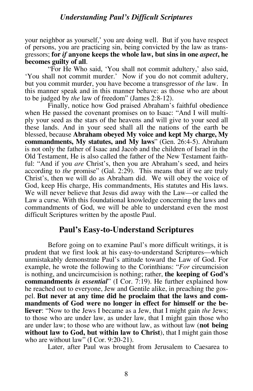your neighbor as yourself,' you are doing well. But if you have respect of persons, you are practicing sin, being convicted by the law as transgressors; **for** *if* **anyone keeps the whole law, but sins in one** *aspect***, he becomes guilty of all**.

 "For He Who said, 'You shall not commit adultery,' also said, 'You shall not commit murder.' Now if you do not commit adultery, but you commit murder, you have become a transgressor of *the* law. In this manner speak and in this manner behave: as those who are about to be judged by *the* law of freedom" (James 2:8-12).

 Finally, notice how God praised Abraham's faithful obedience when He passed the covenant promises on to Isaac: "And I will multiply your seed as the stars of the heavens and will give to your seed all these lands. And in your seed shall all the nations of the earth be blessed, because **Abraham obeyed My voice and kept My charge, My commandments, My statutes, and My laws**" (Gen. 26:4-5). Abraham is not only the father of Isaac and Jacob and the children of Israel in the Old Testament, He is also called the father of the New Testament faithful: "And if you *are* Christ's, then you are Abraham's seed, and heirs according to *the* promise" (Gal. 2:29). This means that if we are truly Christ's, then we will do as Abraham did. We will obey the voice of God, keep His charge, His commandments, His statutes and His laws. We will never believe that Jesus did away with the Law—or called the Law a curse. With this foundational knowledge concerning the laws and commandments of God, we will be able to understand even the most difficult Scriptures written by the apostle Paul.

#### **Paul's Easy-to-Understand Scriptures**

 Before going on to examine Paul's more difficult writings, it is prudent that we first look at his easy-to-understand Scriptures—which unmistakably demonstrate Paul's attitude toward the Law of God. For example, he wrote the following to the Corinthians: "*For* circumcision is nothing, and uncircumcision is nothing; rather, **the keeping of God's commandments** *is essential*" (I Cor. 7:19). He further explained how he reached out to everyone, Jew and Gentile alike, in preaching the gospel. **But never at any time did he proclaim that the laws and commandments of God were no longer in effect for himself or the believer**: "Now to the Jews I became as a Jew, that I might gain *the* Jews; to those who are under law, as under law, that I might gain those who are under law; to those who are without law, as without law (**not being without law to God, but within law to Christ**), that I might gain those who are without law" (I Cor. 9:20-21).

Later, after Paul was brought from Jerusalem to Caesarea to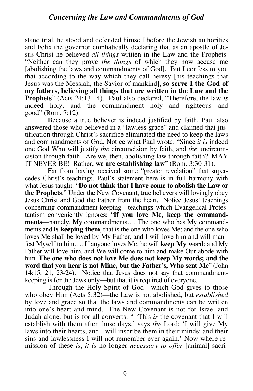stand trial, he stood and defended himself before the Jewish authorities and Felix the governor emphatically declaring that as an apostle of Jesus Christ he believed *all things* written in the Law and the Prophets: "Neither can they prove *the things* of which they now accuse me [abolishing the laws and commandments of God]. But I confess to you that according to the way which they call heresy [his teachings that Jesus was the Messiah, the Savior of mankind], **so serve I the God of my fathers, believing all things that are written in the Law and the Prophets**" (Acts 24:13-14). Paul also declared, "Therefore, the law *is* indeed holy, and the commandment holy and righteous and good" (Rom. 7:12).

 Because a true believer is indeed justified by faith, Paul also answered those who believed in a "lawless grace" and claimed that justification through Christ's sacrifice eliminated the need to keep the laws and commandments of God. Notice what Paul wrote: "Since *it is* indeed one God Who will justify *the* circumcision by faith, and *the* uncircumcision through faith. Are we, then, abolishing law through faith? MAY IT NEVER BE! Rather, **we are establishing law**" (Rom. 3:30-31).

 Far from having received some "greater revelation" that supercedes Christ's teachings, Paul's statement here is in full harmony with what Jesus taught: "**Do not think that I have come to abolish the Law or the Prophets**." Under the New Covenant, true believers will lovingly obey Jesus Christ and God the Father from the heart. Notice Jesus' teachings concerning commandment-keeping—teachings which Evangelical Protestantism conveniently ignores: "**If you love Me, keep the commandments**—namely, My commandments…. The one who has My commandments and **is keeping them**, that is the one who loves Me; and the one who loves Me shall be loved by My Father, and I will love him and will manifest Myself to him…. If anyone loves Me, he will **keep My word**; and My Father will love him, and We will come to him and make Our abode with him. **The one who does not love Me does not keep My words; and the word that you hear is not Mine, but the Father's, Who sent Me**" (John 14:15, 21, 23-24). Notice that Jesus does not say that commandmentkeeping is for the Jews only—but that it is required of everyone.

 Through the Holy Spirit of God—which God gives to those who obey Him (Acts 5:32)—the Law is not abolished, but *established* by love and grace so that the laws and commandments can be written into one's heart and mind. The New Covenant is not for Israel and Judah alone, but is for all converts: " 'This *is* the covenant that I will establish with them after those days,' says *the* Lord: 'I will give My laws into their hearts, and I will inscribe them in their minds; and their sins and lawlessness I will not remember ever again.' Now where remission of these *is*, *it is* no longer *necessary to offer* [animal] sacri-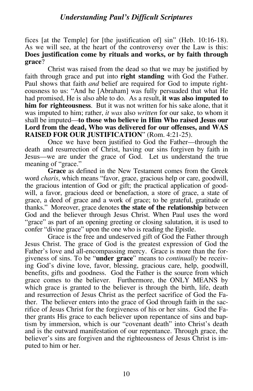fices [at the Temple] for [the justification of] sin" (Heb. 10:16-18). As we will see, at the heart of the controversy over the Law is this: **Does justification come by rituals and works, or by faith through grace**?

 Christ was raised from the dead so that we may be justified by faith through grace and put into **right standing** with God the Father. Paul shows that faith *and* belief are required for God to impute righteousness to us: "And he [Abraham] was fully persuaded that what He had promised, He is also able to do. As a result, **it was also imputed to him for righteousness**. But it was not written for his sake alone, that it was imputed to him; rather, *it was* also *written* for our sake, to whom it shall be imputed—**to those who believe in Him Who raised Jesus our Lord from the dead, Who was delivered for our offenses, and WAS RAISED FOR OUR JUSTIFICATION**" (Rom. 4:21-25).

 Once we have been justified to God the Father—through the death and resurrection of Christ, having our sins forgiven by faith in Jesus—we are under the grace of God. Let us understand the true meaning of "grace."

**Grace** as defined in the New Testament comes from the Greek word *charis*, which means "favor, grace, gracious help or care, goodwill, the gracious intention of God or gift; the practical application of goodwill, a favor, gracious deed or benefaction, a store of grace, a state of grace, a deed of grace and a work of grace; to be grateful, gratitude or thanks." Moreover, grace denotes **the state of the relationship** between God and the believer through Jesus Christ. When Paul uses the word "grace" as part of an opening greeting or closing salutation, it is used to confer "divine grace" upon the one who is reading the Epistle.

 Grace is the free and undeserved gift of God the Father through Jesus Christ. The grace of God is the greatest expression of God the Father's love and all-encompassing mercy. Grace is more than the forgiveness of sins. To be "**under grace**" means to *continually* be receiving God's divine love, favor, blessing, gracious care, help, goodwill, benefits, gifts and goodness. God the Father is the source from which grace comes to the believer. Furthermore, the ONLY MEANS by which grace is granted to the believer is through the birth, life, death and resurrection of Jesus Christ as the perfect sacrifice of God the Father. The believer enters into the grace of God through faith in the sacrifice of Jesus Christ for the forgiveness of his or her sins. God the Father grants His grace to each believer upon repentance of sins and baptism by immersion, which is our "covenant death" into Christ's death and is the outward manifestation of our repentance. Through grace, the believer's sins are forgiven and the righteousness of Jesus Christ is imputed to him or her.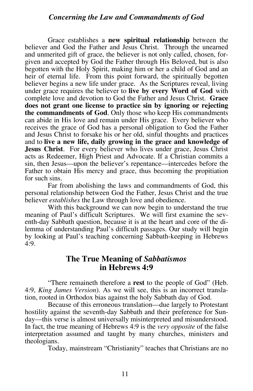Grace establishes a **new spiritual relationship** between the believer and God the Father and Jesus Christ. Through the unearned and unmerited gift of grace, the believer is not only called, chosen, forgiven and accepted by God the Father through His Beloved, but is also begotten with the Holy Spirit, making him or her a child of God and an heir of eternal life. From this point forward, the spiritually begotten believer begins a new life under grace. As the Scriptures reveal, living under grace requires the believer to **live by every Word of God** with complete love and devotion to God the Father and Jesus Christ. **Grace does not grant one license to practice sin by ignoring or rejecting the commandments of God**. Only those who keep His commandments can abide in His love and remain under His grace. Every believer who receives the grace of God has a personal obligation to God the Father and Jesus Christ to forsake his or her old, sinful thoughts and practices and to **live a new life, daily growing in the grace and knowledge of Jesus Christ**. For every believer who lives under grace, Jesus Christ acts as Redeemer, High Priest and Advocate. If a Christian commits a sin, then Jesus—upon the believer's repentance—intercedes before the Father to obtain His mercy and grace, thus becoming the propitiation for such sins.

 Far from abolishing the laws and commandments of God, this personal relationship between God the Father, Jesus Christ and the true believer *establishes* the Law through love and obedience.

 With this background we can now begin to understand the true meaning of Paul's difficult Scriptures. We will first examine the seventh-day Sabbath question, because it is at the heart and core of the dilemma of understanding Paul's difficult passages. Our study will begin by looking at Paul's teaching concerning Sabbath-keeping in Hebrews  $4.9.$ 

#### **The True Meaning of** *Sabbatismos* **in Hebrews 4:9**

 "There remaineth therefore a **rest** to the people of God" (Heb. 4:9, *King James Version*). As we will see, this is an incorrect translation, rooted in Orthodox bias against the holy Sabbath day of God.

 Because of this erroneous translation—due largely to Protestant hostility against the seventh-day Sabbath and their preference for Sunday—this verse is almost universally misinterpreted and misunderstood. In fact, the true meaning of Hebrews 4:9 is the *very opposite* of the false interpretation assumed and taught by many churches, ministers and theologians.

Today, mainstream "Christianity" teaches that Christians are no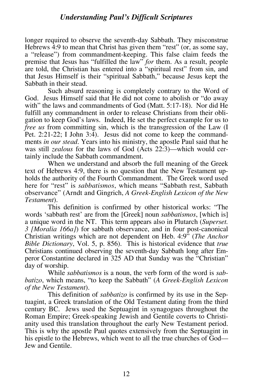longer required to observe the seventh-day Sabbath. They misconstrue Hebrews 4:9 to mean that Christ has given them "rest" (or, as some say, a "release") from commandment-keeping. This false claim feeds the premise that Jesus has "fulfilled the law" *for* them. As a result, people are told, the Christian has entered into a "spiritual rest" from sin, and that Jesus Himself is their "spiritual Sabbath," because Jesus kept the Sabbath in their stead.

 Such absurd reasoning is completely contrary to the Word of God. Jesus Himself said that He did not come to abolish or "do away with" the laws and commandments of God (Matt. 5:17-18). Nor did He fulfill any commandment in order to release Christians from their obligation to keep God's laws. Indeed, He set the perfect example for us to *free us* from committing sin, which is the transgression of the Law (I) Pet. 2:21-22; I John 3:4). Jesus did not come to keep the commandments *in our stead*. Years into his ministry, the apostle Paul said that he was still *zealous* for the laws of God (Acts 22:3)—which would certainly include the Sabbath commandment.

 When we understand and absorb the full meaning of the Greek text of Hebrews 4:9, there is no question that the New Testament upholds the authority of the Fourth Commandment. The Greek word used here for "rest" is *sabbatismos*, which means "Sabbath rest, Sabbath observance" (Arndt and Gingrich, *A Greek-English Lexicon of the New Testament*).

 This definition is confirmed by other historical works: "The words 'sabbath rest' are from the [Greek] noun *sabbatismos*, [which is] a unique word in the NT. This term appears also in Plutarch (*Superset. 3 [Moralia 166a]*) for sabbath observance, and in four post-canonical Christian writings which are not dependent on Heb. 4:9" (*The Anchor Bible Dictionary*, Vol. 5, p. 856). This is historical evidence that *true* Christians continued observing the seventh-day Sabbath long after Emperor Constantine declared in 325 AD that Sunday was the "Christian" day of worship.

 While *sabbatismos* is a noun, the verb form of the word is *sabbatizo*, which means, "to keep the Sabbath" (*A Greek-English Lexicon of the New Testament*).

 This definition of *sabbatizo* is confirmed by its use in the Septuagint, a Greek translation of the Old Testament dating from the third century BC. Jews used the Septuagint in synagogues throughout the Roman Empire; Greek-speaking Jewish and Gentile coverts to Christianity used this translation throughout the early New Testament period. This is why the apostle Paul quotes extensively from the Septuagint in his epistle to the Hebrews, which went to all the true churches of God— Jew and Gentile.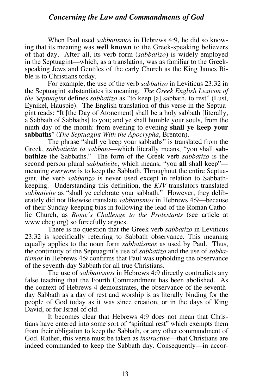When Paul used *sabbatismos* in Hebrews 4:9, he did so knowing that its meaning was **well known** to the Greek-speaking believers of that day. After all, its verb form (*sabbatizo*) is widely employed in the Septuagint—which, as a translation, was as familiar to the Greekspeaking Jews and Gentiles of the early Church as the King James Bible is to Christians today.

 For example, the use of the verb *sabbatizo* in Leviticus 23:32 in the Septuagint substantiates its meaning. *The Greek English Lexicon of the Septuagint* defines *sabbatizo* as "to keep [a] sabbath, to rest" (Lust, Eynikel, Hauspie). The English translation of this verse in the Septuagint reads: "It [the Day of Atonement] shall be a holy sabbath [literally, a Sabbath of Sabbaths] to you; and ye shall humble your souls, from the ninth day of the month: from evening to evening **shall ye keep your sabbaths**" (*The Septuagint With the Apocrypha*, Brenton).

 The phrase "shall ye keep your sabbaths" is translated from the Greek, *sabbatieite ta sabbata*—which literally means, "you shall **sabbathize** the Sabbaths." The form of the Greek verb *sabbatizo* is the second person plural *sabbatieite*, which means, "you **all** shall keep" meaning *everyone* is to keep the Sabbath. Throughout the entire Septuagint, the verb *sabbatizo* is never used except in relation to Sabbathkeeping. Understanding this definition, the *KJV* translators translated *sabbatieite* as "shall ye celebrate your sabbath." However, they deliberately did not likewise translate *sabbatismos* in Hebrews 4:9—because of their Sunday-keeping bias in following the lead of the Roman Catholic Church, as *Rome's Challenge to the Protestants* (see article at www.cbcg.org) so forcefully argues.

 There is no question that the Greek verb *sabbatizo* in Leviticus 23:32 is specifically referring to Sabbath observance. This meaning equally applies to the noun form *sabbatismos* as used by Paul. Thus, the continuity of the Septuagint's use of *sabbatizo* and the use of *sabbatismos* in Hebrews 4:9 confirms that Paul was upholding the observance of the seventh-day Sabbath for all true Christians.

 The use of *sabbatismos* in Hebrews 4:9 directly contradicts any false teaching that the Fourth Commandment has been abolished. As the context of Hebrews 4 demonstrates, the observance of the seventhday Sabbath as a day of rest and worship is as literally binding for the people of God today as it was since creation, or in the days of King David, or for Israel of old.

 It becomes clear that Hebrews 4:9 does not mean that Christians have entered into some sort of "spiritual rest" which exempts them from their obligation to keep the Sabbath, or any other commandment of God. Rather, this verse must be taken as *instructive*—that Christians are indeed commanded to keep the Sabbath day. Consequently—in accor-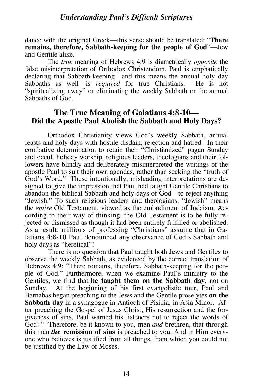dance with the original Greek—this verse should be translated: "**There remains, therefore, Sabbath-keeping for the people of God**"—Jew and Gentile alike.

 The *true* meaning of Hebrews 4:9 is diametrically *opposite* the false misinterpretation of Orthodox Christendom. Paul is emphatically declaring that Sabbath-keeping—and this means the annual holy day Sabbaths as well—is *required* for true Christians. He is not "spiritualizing away" or eliminating the weekly Sabbath or the annual Sabbaths of God.

#### **The True Meaning of Galatians 4:8-10— Did the Apostle Paul Abolish the Sabbath and Holy Days?**

 Orthodox Christianity views God's weekly Sabbath, annual feasts and holy days with hostile disdain, rejection and hatred. In their combative determination to retain their "Christianized" pagan Sunday and occult holiday worship, religious leaders, theologians and their followers have blindly and deliberately misinterpreted the writings of the apostle Paul to suit their own agendas, rather than seeking the "truth of God's Word." These intentionally, misleading interpretations are designed to give the impression that Paul had taught Gentile Christians to abandon the biblical Sabbath and holy days of God—to reject anything "Jewish." To such religious leaders and theologians, "Jewish" means the *entire* Old Testament, viewed as the embodiment of Judaism. According to their way of thinking, the Old Testament is to be fully rejected or dismissed as though it had been entirely fulfilled or abolished. As a result, millions of professing "Christians" assume that in Galatians 4:8-10 Paul denounced any observance of God's Sabbath and holy days as "heretical"!

 There is no question that Paul taught both Jews and Gentiles to observe the weekly Sabbath, as evidenced by the correct translation of Hebrews 4:9: "There remains, therefore, Sabbath-keeping for the people of God." Furthermore, when we examine Paul's ministry to the Gentiles, we find that **he taught them on the Sabbath day**, not on Sunday. At the beginning of his first evangelistic tour, Paul and Barnabas began preaching to the Jews and the Gentile proselytes **on the Sabbath day** in a synagogue in Antioch of Pisidia, in Asia Minor. After preaching the Gospel of Jesus Christ, His resurrection and the forgiveness of sins, Paul warned his listeners not to reject the words of God: " 'Therefore, be it known to you, men *and* brethren, that through this man *the* **remission of sins** is preached to you. And in Him everyone who believes is justified from all things, from which you could not be justified by the Law of Moses.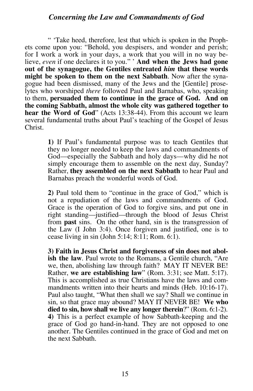" 'Take heed, therefore, lest that which is spoken in the Prophets come upon you: "Behold, you despisers, and wonder and perish; for I work a work in your days, a work that you will in no way believe, *even* if one declares it to you." ' **And when the Jews had gone out of the synagogue, the Gentiles entreated** *him* **that these words might be spoken to them on the next Sabbath**. Now after the synagogue had been dismissed, many of the Jews and the [Gentile] proselytes who worshiped *there* followed Paul and Barnabas, who, speaking to them, **persuaded them to continue in the grace of God. And on the coming Sabbath, almost the whole city was gathered together to hear the Word of God**" (Acts 13:38-44). From this account we learn several fundamental truths about Paul's teaching of the Gospel of Jesus Christ.

> **1)** If Paul's fundamental purpose was to teach Gentiles that they no longer needed to keep the laws and commandments of God—especially the Sabbath and holy days—why did he not simply encourage them to assemble on the next day, Sunday? Rather, **they assembled on the next Sabbath** to hear Paul and Barnabas preach the wonderful words of God.

> **2)** Paul told them to "continue in the grace of God," which is not a repudiation of the laws and commandments of God. Grace is the operation of God to forgive sins, and put one in right standing—justified—through the blood of Jesus Christ from **past** sins. On the other hand, sin is the transgression of the Law (I John 3:4). Once forgiven and justified, one is to cease living in sin (John 5:14; 8:11; Rom. 6:1).

> **3) Faith in Jesus Christ and forgiveness of sin does not abolish the law**. Paul wrote to the Romans, a Gentile church, "Are we, then, abolishing law through faith? MAY IT NEVER BE! Rather, **we are establishing law**" (Rom. 3:31; see Matt. 5:17). This is accomplished as true Christians have the laws and commandments written into their hearts and minds (Heb. 10:16-17). Paul also taught, "What then shall we say? Shall we continue in sin, so that grace may abound? MAY IT NEVER BE! **We who died to sin, how shall we live any longer therein**?" (Rom. 6:1-2). **4)** This is a perfect example of how Sabbath-keeping and the grace of God go hand-in-hand. They are not opposed to one another. The Gentiles continued in the grace of God and met on the next Sabbath.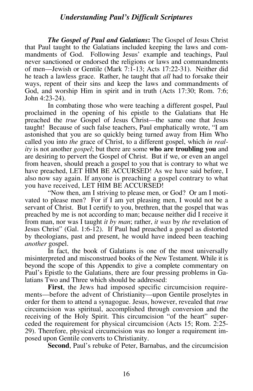*The Gospel of Paul and Galatians***:** The Gospel of Jesus Christ that Paul taught to the Galatians included keeping the laws and commandments of God. Following Jesus' example and teachings, Paul never sanctioned or endorsed the religions or laws and commandments of men—Jewish or Gentile (Mark 7:1-13; Acts 17:22-31). Neither did he teach a lawless grace. Rather, he taught that *all* had to forsake their ways, repent of their sins and keep the laws and commandments of God, and worship Him in spirit and in truth (Acts 17:30; Rom. 7:6; John 4:23-24).

 In combating those who were teaching a different gospel, Paul proclaimed in the opening of his epistle to the Galatians that He preached the *true* Gospel of Jesus Christ—the same one that Jesus taught! Because of such false teachers, Paul emphatically wrote, "I am astonished that you are so quickly being turned away from Him Who called you into *the* grace of Christ, to a different gospel, which *in reality* is not another *gospel*; but there are some **who are troubling you** and are desiring to pervert the Gospel of Christ. But if we, or even an angel from heaven, should preach a gospel to you that is contrary to what we have preached, LET HIM BE ACCURSED! As we have said before, I also now say again. If anyone is preaching a gospel contrary to what you have received, LET HIM BE ACCURSED!

 "Now then, am I striving to please men, or God? Or am I motivated to please men? For if I am yet pleasing men, I would not be a servant of Christ. But I certify to you, brethren, that the gospel that was preached by me is not according to man; because neither did I receive it from man, nor was I taught *it by man*; rather, *it was* by *the* revelation of Jesus Christ" (Gal. 1:6-12). If Paul had preached a gospel as distorted by theologians, past and present, he would have indeed been teaching *another* gospel.

 In fact, the book of Galatians is one of the most universally misinterpreted and misconstrued books of the New Testament. While it is beyond the scope of this Appendix to give a complete commentary on Paul's Epistle to the Galatians, there are four pressing problems in Galatians Two and Three which should be addressed:

**First**, the Jews had imposed specific circumcision requirements—before the advent of Christianity—upon Gentile proselytes in order for them to attend a synagogue. Jesus, however, revealed that *true* circumcision was spiritual, accomplished through conversion and the receiving of the Holy Spirit. This circumcision "of the heart" superceded the requirement for physical circumcision (Acts 15; Rom. 2:25- 29). Therefore, physical circumcision was no longer a requirement imposed upon Gentile converts to Christianity.

**Second**, Paul's rebuke of Peter, Barnabas, and the circumcision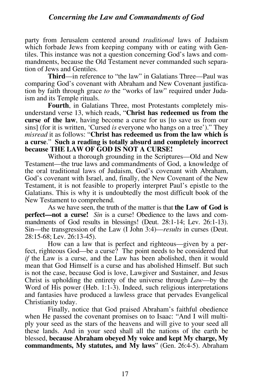party from Jerusalem centered around *traditional* laws of Judaism which forbade Jews from keeping company with or eating with Gentiles. This instance was not a question concerning God's laws and commandments, because the Old Testament never commanded such separation of Jews and Gentiles.

**Third**—in reference to "the law" in Galatians Three—Paul was comparing God's covenant with Abraham and New Covenant justification by faith through grace *to* the "works of law" required under Judaism and its Temple rituals.

**Fourth**, in Galatians Three, most Protestants completely misunderstand verse 13, which reads, "**Christ has redeemed us from the curse of the law**, having become a curse for us [to save us from our sins] (for it is written, 'Cursed *is* everyone who hangs on a tree')." They *misread* it as follows: "**Christ has redeemed us from the law which is a curse**." **Such a reading is totally absurd and completely incorrect because THE LAW OF GOD IS NOT A CURSE!**

 Without a thorough grounding in the Scriptures—Old and New Testament—the true laws and commandments of God, a knowledge of the oral traditional laws of Judaism, God's covenant with Abraham, God's covenant with Israel, and, finally, the New Covenant of the New Testament, it is not feasible to properly interpret Paul's epistle to the Galatians. This is why it is undoubtedly the most difficult book of the New Testament to comprehend.

 As we have seen, the truth of the matter is that **the Law of God is perfect—not a curse!** *Sin* is a curse! Obedience to the laws and commandments of God results in blessings! (Deut. 28:1-14; Lev. 26:1-13). Sin—the transgression of the Law (I John 3:4)—*results* in curses (Deut. 28:15-68; Lev. 26:13-45).

 How can a law that is perfect and righteous—given by a perfect, righteous God—be a curse? The point needs to be considered that *if* the Law is a curse, and the Law has been abolished, then it would mean that God Himself is a curse and has abolished Himself. But such is not the case, because God is love, Lawgiver and Sustainer, and Jesus Christ is upholding the entirety of the universe through *Law*—by the Word of His power (Heb. 1:1-3). Indeed, such religious interpretations and fantasies have produced a lawless grace that pervades Evangelical Christianity today.

 Finally, notice that God praised Abraham's faithful obedience when He passed the covenant promises on to Isaac: "And I will multiply your seed as the stars of the heavens and will give to your seed all these lands. And in your seed shall all the nations of the earth be blessed, **because Abraham obeyed My voice and kept My charge, My commandments, My statutes, and My laws**" (Gen. 26:4-5). Abraham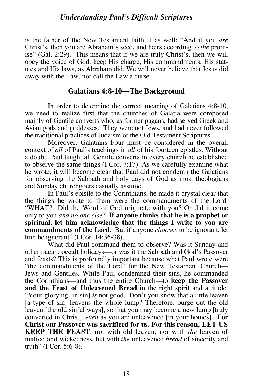is the father of the New Testament faithful as well: "And if you *are* Christ's, then you are Abraham's seed, and heirs according to *the* promise" (Gal. 2:29). This means that if we are truly Christ's, then we will obey the voice of God, keep His charge, His commandments, His statutes and His laws, as Abraham did. We will never believe that Jesus did away with the Law, nor call the Law a curse.

#### **Galatians 4:8-10—The Background**

 In order to determine the correct meaning of Galatians 4:8-10, we need to realize first that the churches of Galatia were composed mainly of Gentile converts who, as former pagans, had served Greek and Asian gods and goddesses. They were not Jews, and had never followed the traditional practices of Judaism or the Old Testament Scriptures.

 Moreover, Galatians Four must be considered in the overall context of *all* of Paul's teachings in *all* of his fourteen epistles. Without a doubt, Paul taught all Gentile converts in every church he established to observe the same things (I Cor. 7:17). As we carefully examine what he wrote, it will become clear that Paul did not condemn the Galatians for observing the Sabbath and holy days of God as most theologians and Sunday churchgoers casually assume.

 In Paul's epistle to the Corinthians, he made it crystal clear that the things he wrote to them were the commandments of the Lord: "WHAT? Did the Word of God originate with you? Or did it come only to you *and no one else*? **If anyone thinks that he is a prophet or spiritual, let him acknowledge that the things I write to you are commandments of the Lord**. But if anyone *chooses* to be ignorant, let him be ignorant" (I Cor. 14:36-38).

 What did Paul command them to observe? Was it Sunday and other pagan, occult holidays—or was it the Sabbath and God's Passover and feasts? This is profoundly important because what Paul wrote were "the commandments of the Lord" for the New Testament Church— Jews and Gentiles. While Paul condemned their sins, he commanded the Corinthians—and thus the entire Church—to **keep the Passover and the Feast of Unleavened Bread** in the right spirit and attitude: "Your glorying [in sin] *is* not good. Don't you know that a little leaven [a type of sin] leavens the whole lump? Therefore, purge out the old leaven [the old sinful ways], so that you may become a new lump [truly converted in Christ], *even* as you are unleavened [in your homes]. **For Christ our Passover was sacrificed for us. For this reason, LET US KEEP THE FEAST**, not with old leaven, nor with *the* leaven of malice and wickedness, but with *the* unleavened *bread* of sincerity and truth" (I Cor. 5:6-8).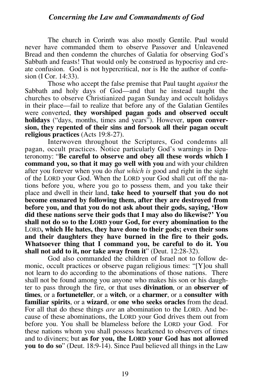The church in Corinth was also mostly Gentile. Paul would never have commanded them to observe Passover and Unleavened Bread and then condemn the churches of Galatia for observing God's Sabbath and feasts! That would only be construed as hypocrisy and create confusion. God is not hypercritical, nor is He the author of confusion (I Cor. 14:33).

 Those who accept the false premise that Paul taught *against* the Sabbath and holy days of God—and that he instead taught the churches to observe Christianized pagan Sunday and occult holidays in their place—fail to realize that before any of the Galatian Gentiles were converted, **they worshiped pagan gods and observed occult holidays** ("days, months, times and years"). However, **upon conversion, they repented of their sins and forsook all their pagan occult religious practices** (Acts 19:8-27).

 Interwoven throughout the Scriptures, God condemns all pagan, occult practices. Notice particularly God's warnings in Deuteronomy: "**Be careful to observe and obey all these words which I command you, so that it may go well with you** and with your children after you forever when you do *that which is* good and right in the sight of the LORD your God. When the LORD your God shall cut off the nations before you, where you go to possess them, and you take their place and dwell in their land, **take heed to yourself that you do not become ensnared by following them, after they are destroyed from before you, and that you do not ask about their gods, saying, 'How did these nations serve their gods that I may also do likewise?' You shall not do so to the LORD your God, for every abomination to the**  LORD**, which He hates, they have done to their gods; even their sons and their daughters they have burned in the fire to their gods. Whatsoever thing that I command you, be careful to do it. You shall not add to it, nor take away from it**" (Deut. 12:28-32).

 God also commanded the children of Israel not to follow demonic, occult practices or observe pagan religious times: "[Y]ou shall not learn to do according to the abominations of those nations. There shall not be found among you anyone who makes his son or his daughter to pass through the fire, or that uses **divination**, or an **observer of times**, or a **fortuneteller**, or a **witch**, or a **charmer**, or a **consulter with familiar spirits**, or a **wizard**, or **one who seeks oracles** from the dead. For all that do these things *are* an abomination to the LORD. And because of these abominations, the LORD your God drives them out from before you. You shall be blameless before the LORD your God. For these nations whom you shall possess hearkened to observers of times and to diviners; but **as for you, the LORD your God has not allowed you to do so**" (Deut. 18:9-14). Since Paul believed all things in the Law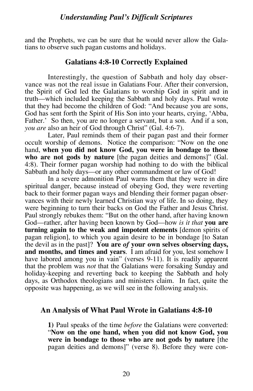and the Prophets, we can be sure that he would never allow the Galatians to observe such pagan customs and holidays.

# **Galatians 4:8-10 Correctly Explained**

 Interestingly, the question of Sabbath and holy day observance was not the real issue in Galatians Four. After their conversion, the Spirit of God led the Galatians to worship God in spirit and in truth—which included keeping the Sabbath and holy days. Paul wrote that they had become the children of God: "And because you are sons, God has sent forth the Spirit of His Son into your hearts, crying, 'Abba, Father.' So then, you are no longer a servant, but a son. And if a son, *you are* also an heir of God through Christ" (Gal. 4:6-7).

 Later, Paul reminds them of their pagan past and their former occult worship of demons. Notice the comparison: "Now on the one hand, **when you did not know God, you were in bondage to those who are not gods by nature** [the pagan deities and demons]" (Gal. 4:8). Their former pagan worship had nothing to do with the biblical Sabbath and holy days—or any other commandment or law of God!

 In a severe admonition Paul warns them that they were in dire spiritual danger, because instead of obeying God, they were reverting back to their former pagan ways and blending their former pagan observances with their newly learned Christian way of life. In so doing, they were beginning to turn their backs on God the Father and Jesus Christ. Paul strongly rebukes them: "But on the other hand, after having known God—rather, after having been known by God—how *is it that* **you are turning again to the weak and impotent elements** [demon spirits of pagan religion], to which you again desire to be in bondage [to Satan the devil as in the past]? **You are** *of* **your own selves observing days, and months, and times and years**. I am afraid for you, lest somehow I have labored among you in vain" (verses 9-11). It is readily apparent that the problem was *not* that the Galatians were forsaking Sunday and holiday-keeping and reverting back to keeping the Sabbath and holy days, as Orthodox theologians and ministers claim. In fact, quite the opposite was happening, as we will see in the following analysis.

#### **An Analysis of What Paul Wrote in Galatians 4:8-10**

**1)** Paul speaks of the time *before* the Galatians were converted: "**Now on the one hand, when you did not know God, you were in bondage to those who are not gods by nature** [the pagan deities and demons]" (verse 8). Before they were con-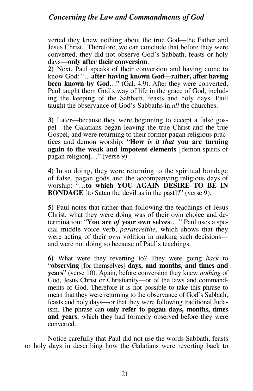verted they knew nothing about the true God—the Father and Jesus Christ. Therefore, we can conclude that before they were converted, they did not observe God's Sabbath, feasts or holy days—**only after their conversion**.

**2)** Next, Paul speaks of their conversion and having come to know God: "…**after having known God—rather, after having been known by God...**" (Gal. 4:9). After they were converted, Paul taught them God's way of life in the grace of God, including the keeping of the Sabbath, feasts and holy days. Paul taught the observance of God's Sabbaths in *all* the churches.

**3)** Later—because they were beginning to accept a false gospel—the Galatians began leaving the true Christ and the true Gospel, and were returning to their former pagan religious practices and demon worship: "**How** *is it that* **you are turning again to the weak and impotent elements** [demon spirits of pagan religion]…" (verse 9).

**4)** In so doing, they were returning to the spiritual bondage of false, pagan gods and the accompanying religious days of worship: "…**to which YOU AGAIN DESIRE TO BE IN BONDAGE** [to Satan the devil as in the past]?" (verse 9).

**5)** Paul notes that rather than following the teachings of Jesus Christ, what they were doing was of their own choice and determination: "**You are** *of* **your own selves**…." Paul uses a special middle voice verb, *paratereithe*, which shows that they were acting of their *own* volition in making such decisions and were not doing so because of Paul's teachings.

**6)** What were they reverting to? They were going *back* to "**observing** [for themselves] **days, and months, and times and years**" (verse 10). Again, before conversion they knew *nothing* of God, Jesus Christ or Christianity—or of the laws and commandments of God. Therefore it is not possible to take this phrase to mean that they were returning to the observance of God's Sabbath, feasts and holy days—or that they were following traditional Judaism. The phrase can **only refer to pagan days, months, times and years**, which they had formerly observed before they were converted.

 Notice carefully that Paul did not use the words Sabbath, feasts or holy days in describing how the Galatians were reverting back to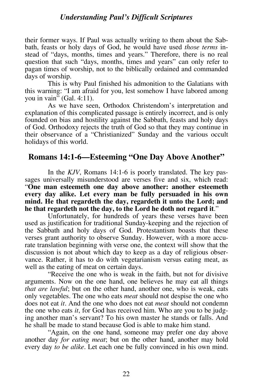their former ways. If Paul was actually writing to them about the Sabbath, feasts or holy days of God, he would have used *those terms* instead of "days, months, times and years." Therefore, there is no real question that such "days, months, times and years" can only refer to pagan times of worship, not to the biblically ordained and commanded days of worship.

 This is why Paul finished his admonition to the Galatians with this warning: "I am afraid for you, lest somehow I have labored among you in vain" (Gal. 4:11).

 As we have seen, Orthodox Christendom's interpretation and explanation of this complicated passage is entirely incorrect, and is only founded on bias and hostility against the Sabbath, feasts and holy days of God. Orthodoxy rejects the truth of God so that they may continue in their observance of a "Christianized" Sunday and the various occult holidays of this world.

# **Romans 14:1-6—Esteeming "One Day Above Another"**

 In the *KJV*, Romans 14:1-6 is poorly translated. The key passages universally misunderstood are verses five and six, which read: "**One man esteemeth one day above another: another esteemeth every day alike. Let every man be fully persuaded in his own mind. He that regardeth the day, regardeth it unto the Lord; and he that regardeth not the day, to the Lord he doth not regard it**."

 Unfortunately, for hundreds of years these verses have been used as justification for traditional Sunday-keeping and the rejection of the Sabbath and holy days of God. Protestantism boasts that these verses grant authority to observe Sunday. However, with a more accurate translation beginning with verse one, the context will show that the discussion is not about which day to keep as a day of religious observance. Rather, it has to do with vegetarianism versus eating meat, as well as the eating of meat on certain days.

 "Receive the one who is weak in the faith, but not for divisive arguments. Now on the one hand, one believes he may eat all things *that are lawful*; but on the other hand, another one, who is weak, eats only vegetables. The one who eats *meat* should not despise the one who does not eat *it*. And the one who does not eat *meat* should not condemn the one who eats *it*, for God has received him. Who are you to be judging another man's servant? To his own master he stands or falls. And he shall be made to stand because God is able to make him stand.

 "Again, on the one hand, someone may prefer one day above another day *for eating meat*; but on the other hand, another may hold every day *to be alike*. Let each one be fully convinced in his own mind.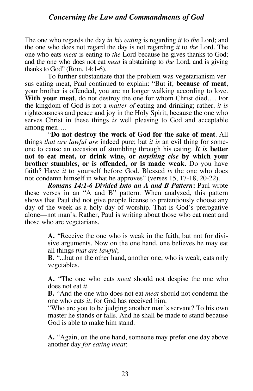The one who regards the day *in his eating* is regarding *it* to *the* Lord; and the one who does not regard the day is not regarding *it* to *the* Lord. The one who eats *meat* is eating to *the* Lord because he gives thanks to God; and the one who does not eat *meat* is abstaining to *the* Lord, and is giving thanks to God" (Rom. 14:1-6).

 To further substantiate that the problem was vegetarianism versus eating meat, Paul continued to explain: "But if, **because of meat**, your brother is offended, you are no longer walking according to love. **With your meat**, do not destroy the one for whom Christ died…. For the kingdom of God is not a *matter of* eating and drinking; rather, *it is*  righteousness and peace and joy in the Holy Spirit, because the one who serves Christ in these things *is* well pleasing to God and acceptable among men….

 "**Do not destroy the work of God for the sake of meat**. All things *that are lawful are* indeed pure; but *it is* an evil thing for someone to cause an occasion of stumbling through his eating. *It is* **better not to eat meat, or drink wine, or** *anything else* **by which your brother stumbles, or is offended, or is made weak**. Do you have faith? Have *it* to yourself before God. Blessed *is* the one who does not condemn himself in what he approves" (verses 15, 17-18, 20-22).

*Romans 14:1-6 Divided Into an A and B Pattern***:** Paul wrote these verses in an "A and B" pattern. When analyzed, this pattern shows that Paul did not give people license to pretentiously choose any day of the week as a holy day of worship. That is God's prerogative alone—not man's. Rather, Paul is writing about those who eat meat and those who are vegetarians.

> **A.** "Receive the one who is weak in the faith, but not for divisive arguments. Now on the one hand, one believes he may eat all things *that are lawful*;

> **B.** "...but on the other hand, another one, who is weak, eats only vegetables.

> **A.** "The one who eats *meat* should not despise the one who does not eat *it*.

> **B.** "And the one who does not eat *meat* should not condemn the one who eats *it*, for God has received him.

> "Who are you to be judging another man's servant? To his own master he stands or falls. And he shall be made to stand because God is able to make him stand.

> **A.** "Again, on the one hand, someone may prefer one day above another day *for eating meat*;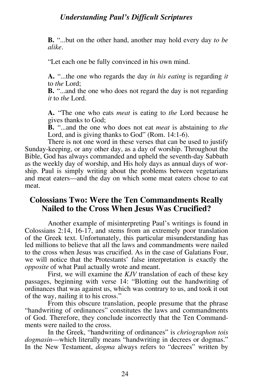**B.** "...but on the other hand, another may hold every day *to be alike*.

"Let each one be fully convinced in his own mind.

**A.** "...the one who regards the day *in his eating* is regarding *it* to *the* Lord;

**B.** "...and the one who does not regard the day is not regarding *it* to *the* Lord.

**A.** "The one who eats *meat* is eating to *the* Lord because he gives thanks to God;

**B.** "...and the one who does not eat *meat* is abstaining to *the* Lord, and is giving thanks to God" (Rom. 14:1-6).

 There is not one word in these verses that can be used to justify Sunday-keeping, or any other day, as a day of worship. Throughout the Bible, God has always commanded and upheld the seventh-day Sabbath as the weekly day of worship, and His holy days as annual days of worship. Paul is simply writing about the problems between vegetarians and meat eaters—and the day on which some meat eaters chose to eat meat.

# **Colossians Two: Were the Ten Commandments Really Nailed to the Cross When Jesus Was Crucified?**

 Another example of misinterpreting Paul's writings is found in Colossians 2:14, 16-17, and stems from an extremely poor translation of the Greek text. Unfortunately, this particular misunderstanding has led millions to believe that all the laws and commandments were nailed to the cross when Jesus was crucified. As in the case of Galatians Four, we will notice that the Protestants' false interpretation is exactly the *opposite* of what Paul actually wrote and meant.

 First, we will examine the *KJV* translation of each of these key passages, beginning with verse 14: "Blotting out the handwriting of ordinances that was against us, which was contrary to us, and took it out of the way, nailing it to his cross."

 From this obscure translation, people presume that the phrase "handwriting of ordinances" constitutes the laws and commandments of God. Therefore, they conclude incorrectly that the Ten Commandments were nailed to the cross.

 In the Greek, "handwriting of ordinances" is *chriographon tois dogmasin*—which literally means "handwriting in decrees or dogmas." In the New Testament, *dogma* always refers to "decrees" written by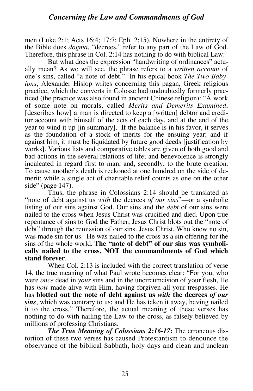men (Luke 2:1; Acts 16:4; 17:7; Eph. 2:15). Nowhere in the entirety of the Bible does *dogma*, "decrees," refer to any part of the Law of God. Therefore, this phrase in Col. 2:14 has nothing to do with biblical Law.

 But what does the expression "handwriting of ordinances" actually mean? As we will see, the phrase refers to a *written account* of one's sins, called "a note of debt." In his epical book *The Two Babylons*, Alexander Hislop writes concerning this pagan, Greek religious practice, which the converts in Colosse had undoubtedly formerly practiced (the practice was also found in ancient Chinese religion): "A work of some note on morals, called *Merits and Demerits Examined*, [describes how] a man is directed to keep a [written] debtor and creditor account with himself of the acts of each day, and at the end of the year to wind it up [in summary]. If the balance is in his favor, it serves as the foundation of a stock of merits for the ensuing year; and if against him, it must be liquidated by future good deeds [justification by works]. Various lists and comparative tables are given of both good and bad actions in the several relations of life; and benevolence is strongly inculcated in regard first to man, and, secondly, to the brute creation. To cause another's death is reckoned at one hundred on the side of demerit; while a single act of charitable relief counts as one on the other side" (page 147).

 Thus, the phrase in Colossians 2:14 should be translated as "note of debt against us *with* the decrees *of our sins*"—or a symbolic listing of our sins against God. Our sins and the *debt* of our sins were nailed to the cross when Jesus Christ was crucified and died. Upon true repentance of sins to God the Father, Jesus Christ blots out the "note of debt" through the remission of our sins. Jesus Christ, Who knew no sin, was made sin for us. He was nailed to the cross as a sin offering for the sins of the whole world. **The "note of debt" of our sins was symbolically nailed to the cross, NOT the commandments of God which stand forever**.

 When Col. 2:13 is included with the correct translation of verse 14, the true meaning of what Paul wrote becomes clear: "For you, who were *once* dead in *your* sins and in the uncircumcision of your flesh, He has *now* made alive with Him, having forgiven all your trespasses. He has **blotted out the note of debt against us** *with* **the decrees** *of our sins*, which was contrary to us; and He has taken it away, having nailed it to the cross." Therefore, the actual meaning of these verses has nothing to do with nailing the Law to the cross, as falsely believed by millions of professing Christians.

*The True Meaning of Colossians 2:16-17***:** The erroneous distortion of these two verses has caused Protestantism to denounce the observance of the biblical Sabbath, holy days and clean and unclean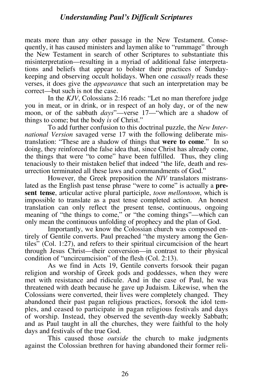meats more than any other passage in the New Testament. Consequently, it has caused ministers and laymen alike to "rummage" through the New Testament in search of other Scriptures to substantiate this misinterpretation—resulting in a myriad of additional false interpretations and beliefs that appear to bolster their practices of Sundaykeeping and observing occult holidays. When one *casually* reads these verses, it does give the *appearance* that such an interpretation may be correct—but such is not the case.

 In the *KJV*, Colossians 2:16 reads: "Let no man therefore judge you in meat, or in drink, or in respect of an holy day, or of the new moon, or of the sabbath *days*"—verse 17—"which are a shadow of things to come; but the body *is* of Christ."

 To add further confusion to this doctrinal puzzle, the *New International Version* savaged verse 17 with the following deliberate mistranslation: "These are a shadow of things that **were to come**." In so doing, they reinforced the false idea that, since Christ has already come, the things that were "to come" have been fulfilled. Thus, they cling tenaciously to their mistaken belief that indeed "the life, death and resurrection terminated all these laws and commandments of God."

 However, the Greek preposition the *NIV* translators mistranslated as the English past tense phrase "were to come" is actually a **present tense**, articular active plural participle, *toon mellontoon*, which is impossible to translate as a past tense completed action. An honest translation can only reflect the present tense, continuous, ongoing meaning of "the things to come," or "the coming things"—which can only mean the continuous unfolding of prophecy and the plan of God.

 Importantly, we know the Colossian church was composed entirely of Gentile converts. Paul preached "the mystery among the Gentiles" (Col. 1:27), and refers to their spiritual circumcision of the heart through Jesus Christ—their conversion—in contrast to their physical condition of "uncircumcision" of the flesh (Col. 2:13).

 As we find in Acts 19, Gentile converts forsook their pagan religion and worship of Greek gods and goddesses, when they were met with resistance and ridicule. And in the case of Paul, he was threatened with death because he gave up Judaism. Likewise, when the Colossians were converted, their lives were completely changed. They abandoned their past pagan religious practices, forsook the idol temples, and ceased to participate in pagan religious festivals and days of worship. Instead, they observed the seventh-day weekly Sabbath; and as Paul taught in all the churches, they were faithful to the holy days and festivals of the true God.

 This caused those *outside* the church to make judgments against the Colossian brethren for having abandoned their former reli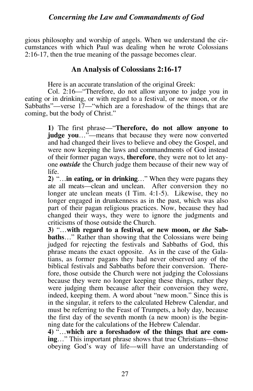gious philosophy and worship of angels. When we understand the circumstances with which Paul was dealing when he wrote Colossians 2:16-17, then the true meaning of the passage becomes clear.

# **An Analysis of Colossians 2:16-17**

Here is an accurate translation of the original Greek:

 Col. 2:16—"Therefore, do not allow anyone to judge you in eating or in drinking, or with regard to a festival, or new moon, or *the* Sabbaths"—verse 17—"which are a foreshadow of the things that are coming, but the body of Christ."

> **1)** The first phrase—"**Therefore, do not allow anyone to judge you**…"—means that because they were now converted and had changed their lives to believe and obey the Gospel, and were now keeping the laws and commandments of God instead of their former pagan ways, **therefore**, they were not to let anyone *outside* the Church judge them because of their new way of life.

> **2)** "…**in eating, or in drinking**…" When they were pagans they ate all meats—clean and unclean. After conversion they no longer ate unclean meats (I Tim. 4:1-5). Likewise, they no longer engaged in drunkenness as in the past, which was also part of their pagan religious practices. Now, because they had changed their ways, they were to ignore the judgments and criticisms of those outside the Church.

> **3)** "…**with regard to a festival, or new moon, or** *the* **Sabbaths**…" Rather than showing that the Colossians were being judged for rejecting the festivals and Sabbaths of God, this phrase means the exact opposite. As in the case of the Galatians, as former pagans they had never observed any of the biblical festivals and Sabbaths before their conversion. Therefore, those outside the Church were not judging the Colossians because they were no longer keeping these things, rather they were judging them because after their conversion they were, indeed, keeping them. A word about "new moon." Since this is in the singular, it refers to the calculated Hebrew Calendar, and must be referring to the Feast of Trumpets, a holy day, because the first day of the seventh month (a new moon) is the beginning date for the calculations of the Hebrew Calendar.

> **4)** "…**which are a foreshadow of the things that are coming**…" This important phrase shows that true Christians—those obeying God's way of life—will have an understanding of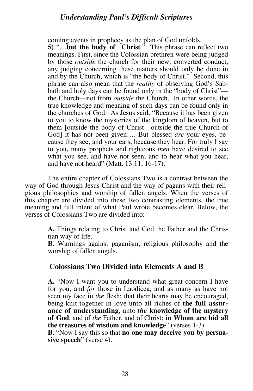coming events in prophecy as the plan of God unfolds.

**5)** "…**but the body of Christ**." This phrase can reflect two meanings. First, since the Colossian brethren were being judged by those *outside* the church for their new, converted conduct, any judging concerning these matters should only be done in and by the Church, which is "the body of Christ." Second, this phrase can also mean that the *reality* of observing God's Sabbath and holy days can be found only in the "body of Christ" the Church—not from *outside* the Church. In other words, the true knowledge and meaning of such days can be found only in the churches of God. As Jesus said, "Because it has been given to you to know the mysteries of the kingdom of heaven, but to them [outside the body of Christ—outside the true Church of God] it has not been given…. But blessed *are* your eyes, because they see; and your ears, because they hear. For truly I say to you, many prophets and righteous *men* have desired to see what you see, and have not seen; and to hear what you hear, and have not heard" (Matt. 13:11, 16-17).

 The entire chapter of Colossians Two is a contrast between the way of God through Jesus Christ and the way of pagans with their religious philosophies and worship of fallen angels. When the verses of this chapter are divided into these two contrasting elements, the true meaning and full intent of what Paul wrote becomes clear. Below, the verses of Colossians Two are divided into:

> **A.** Things relating to Christ and God the Father and the Christian way of life.

> **B.** Warnings against paganism, religious philosophy and the worship of fallen angels.

#### **Colossians Two Divided into Elements A and B**

**A.** "Now I want you to understand what great concern I have for you, and *for* those in Laodicea, and as many as have not seen my face in *the* flesh; that their hearts may be encouraged, being knit together in love unto all riches of **the full assurance of understanding**, unto *the* **knowledge of the mystery of God**, and of *the* Father, and of Christ; **in Whom are hid all the treasures of wisdom and knowledge**" (verses 1-3).

**B.** "Now I say this so that **no one may deceive you by persuasive speech**" (verse 4).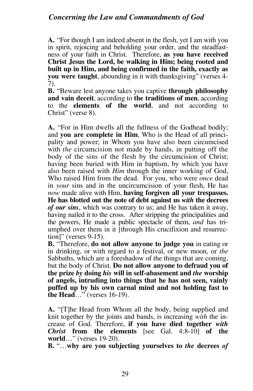**A.** "For though I am indeed absent in the flesh, yet I am with you in spirit, rejoicing and beholding your order, and the steadfastness of your faith in Christ. Therefore, **as you have received Christ Jesus the Lord, be walking in Him; being rooted and built up in Him, and being confirmed in the faith, exactly as you were taught**, abounding in it with thanksgiving" (verses 4- 7).

**B.** "Beware lest anyone takes you captive **through philosophy and vain deceit**, according to **the traditions of men**, according to the **elements of the world**, and not according to Christ" (verse 8).

**A.** "For in Him dwells all the fullness of the Godhead bodily; and **you are complete in Him**, Who is the Head of all principality and power; in Whom you have also been circumcised with *the* circumcision not made by hands, in putting off the body of the sins of the flesh by the circumcision of Christ; having been buried with Him in baptism, by which you have also been raised with *Him* through the inner working of God, Who raised Him from the dead. For you, who were *once* dead in *your* sins and in the uncircumcision of your flesh, He has *now* made alive with Him, **having forgiven all your trespasses. He has blotted out the note of debt against us** *with* **the decrees**  *of our sins*, which was contrary to us; and He has taken it away, having nailed it to the cross. After stripping the principalities and the powers, He made a public spectacle of them, *and* has triumphed over them in it [through His crucifixion and resurrection]" (verses 9-15).

**B.** "Therefore, **do not allow anyone to judge you** in eating or in drinking, or with regard to a festival, or new moon, or *the* Sabbaths, which are a foreshadow of the things that are coming, but the body of Christ. **Do not allow anyone to defraud you of the prize** *by* **doing** *his* **will in self-abasement and** *the* **worship of angels, intruding into things that he has not seen, vainly puffed up by his own carnal mind and not holding fast to the Head...**" (verses 16-19).

**A.** "[T]he Head from Whom all the body, being supplied and knit together by the joints and bands, is increasing *with* the increase of God. Therefore, **if you have died together** *with Christ* **from the elements** [see Gal. 4:8-10] **of the world**…" (verses 19-20).

**B.** "…**why are you subjecting yourselves to** *the* **decrees** *of*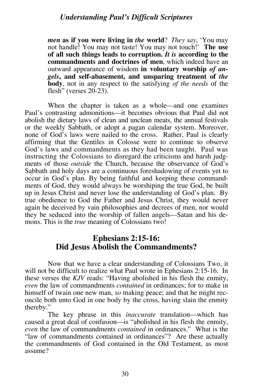*men* **as if you were living in** *the* **world**? *They say*, 'You may not handle! You may not taste! You may not touch!' **The use of all such things leads to corruption.** *It is* **according to the commandments and doctrines of men**, which indeed have an outward appearance of wisdom **in voluntary worship** *of angels***, and self-abasement, and unsparing treatment of** *the* **body**, not in any respect to the satisfying *of the needs* of the flesh" (verses 20-23).

 When the chapter is taken as a whole—and one examines Paul's contrasting admonitions—it becomes obvious that Paul did not abolish the dietary laws of clean and unclean meats, the annual festivals or the weekly Sabbath, or adopt a pagan calendar system. Moreover, none of God's laws were nailed to the cross. Rather, Paul is clearly affirming that the Gentiles in Colosse were to continue to observe God's laws and commandments as they had been taught. Paul was instructing the Colossians to disregard the criticisms and harsh judgments of those *outside* the Church, because the observance of God's Sabbath and holy days are a continuous foreshadowing of events yet to occur in God's plan. By being faithful and keeping these commandments of God, they would always be worshiping the true God, be built up in Jesus Christ and never lose the understanding of God's plan. By true obedience to God the Father and Jesus Christ, they would never again be deceived by vain philosophies and decrees of men, nor would they be seduced into the worship of fallen angels—Satan and his demons. This is the *true* meaning of Colossians two!

# **Ephesians 2:15-16: Did Jesus Abolish the Commandments?**

 Now that we have a clear understanding of Colossians Two, it will not be difficult to realize what Paul wrote in Ephesians 2:15-16. In these verses the *KJV* reads: "Having abolished in his flesh the enmity, *even* the law of commandments *contained* in ordinances; for to make in himself of twain one new man, *so* making peace; and that he might reconcile both unto God in one body by the cross, having slain the enmity thereby."

 The key phrase in this *inaccurate* translation—which has caused a great deal of confusion—is "abolished in his flesh the enmity, *even* the law of commandments *contained* in ordinances." What is the "law of commandments contained in ordinances"? Are these actually the commandments of God contained in the Old Testament, as most assume?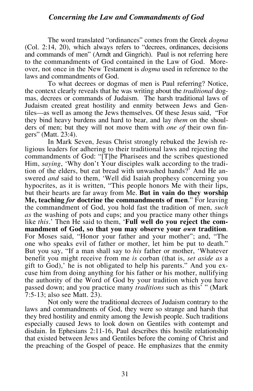The word translated "ordinances" comes from the Greek *dogma* (Col. 2:14, 20), which always refers to "decrees, ordinances, decisions and commands of men" (Arndt and Gingrich). Paul is not referring here to the commandments of God contained in the Law of God. Moreover, not once in the New Testament is *dogma* used in reference to the laws and commandments of God.

 To what decrees or dogmas of men is Paul referring? Notice, the context clearly reveals that he was writing about the *traditional* dogmas, decrees or commands of Judaism. The harsh traditional laws of Judaism created great hostility and enmity between Jews and Gentiles—as well as among the Jews themselves. Of these Jesus said, "For they bind heavy burdens and hard to bear, and lay *them* on the shoulders of men; but they will not move them with *one of* their own fingers" (Matt. 23:4).

 In Mark Seven, Jesus Christ strongly rebuked the Jewish religious leaders for adhering to their traditional laws and rejecting the commandments of God: "[T]he Pharisees and the scribes questioned Him, *saying*, 'Why don't Your disciples walk according to the tradition of the elders, but eat bread with unwashed hands?' And He answered *and* said to them, 'Well did Isaiah prophesy concerning you hypocrites, as it is written, "This people honors Me with their lips, but their hearts are far away from Me. **But in vain do they worship Me, teaching** *for* **doctrine the commandments of men**." For leaving the commandment of God, you hold fast the tradition of men, *such as* the washing of pots and cups; and you practice many other things like *this*.' Then He said to them, '**Full well do you reject the commandment of God, so that you may observe your** *own* **tradition**. For Moses said, "Honor your father and your mother"; and, "The one who speaks evil of father or mother, let him be put to death." But you say, "If a man shall say to *his* father or mother, 'Whatever benefit you might receive from me *is* corban (that is, *set aside as* a gift to God),' he is not obligated to help his parents." And you excuse him from doing anything for his father or his mother, nullifying the authority of the Word of God by your tradition which you have passed down; and you practice many *traditions* such as this' " (Mark 7:5-13; also see Matt. 23).

 Not only were the traditional decrees of Judaism contrary to the laws and commandments of God, they were so strange and harsh that they bred hostility and enmity among the Jewish people. Such traditions especially caused Jews to look down on Gentiles with contempt and disdain. In Ephesians 2:11-16, Paul describes this hostile relationship that existed between Jews and Gentiles before the coming of Christ and the preaching of the Gospel of peace. He emphasizes that the enmity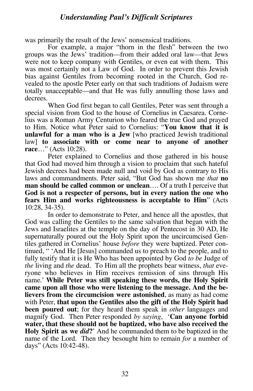was primarily the result of the Jews' nonsensical traditions.

 For example, a major "thorn in the flesh" between the two groups was the Jews' tradition—from their added oral law—that Jews were not to keep company with Gentiles, or even eat with them. This was most certainly not a Law of God. In order to prevent this Jewish bias against Gentiles from becoming rooted in the Church, God revealed to the apostle Peter early on that such traditions of Judaism were totally unacceptable—and that He was fully annulling those laws and decrees.

 When God first began to call Gentiles, Peter was sent through a special vision from God to the house of Cornelius in Caesarea. Cornelius was a Roman Army Centurion who feared the true God and prayed to Him. Notice what Peter said to Cornelius: "**You know that it is unlawful for a man who is a Jew** [who practiced Jewish traditional law] **to associate with or come near to anyone of another race**…" (Acts 10:28).

 Peter explained to Cornelius and those gathered in his house that God had moved him through a vision to proclaim that such hateful Jewish decrees had been made null and void by God as contrary to His laws and commandments. Peter said, "But God has shown me *that* **no man should be called common or unclean**…. Of a truth I perceive that **God is not a respecter of persons, but in every nation the one who fears Him and works righteousness is acceptable to Him**" (Acts 10:28, 34-35).

 In order to demonstrate to Peter, and hence all the apostles, that God was calling the Gentiles to the same salvation that began with the Jews and Israelites at the temple on the day of Pentecost in 30 AD, He supernaturally poured out the Holy Spirit upon the uncircumcised Gentiles gathered in Cornelius' house *before* they were baptized. Peter continued, " 'And He [Jesus] commanded us to preach to the people, and to fully testify that it is He Who has been appointed by God *to be* Judge of *the* living and *the* dead. To Him all the prophets bear witness, *that* everyone who believes in Him receives remission of sins through His name.' **While Peter was still speaking these words, the Holy Spirit came upon all those who were listening to the message. And the believers from the circumcision were astonished**, as many as had come with Peter, **that upon the Gentiles also the gift of the Holy Spirit had been poured out**; for they heard them speak in *other* languages and magnify God. Then Peter responded *by saying*, '**Can anyone forbid water, that these should not be baptized, who have also received the Holy Spirit as we** *did***?**' And he commanded them to be baptized in the name of the Lord. Then they besought him to remain *for* a number of days" (Acts 10:42-48).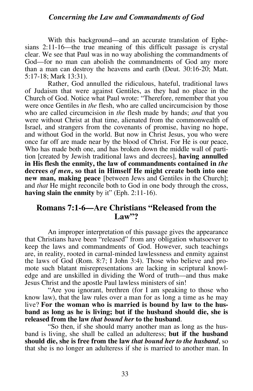With this background—and an accurate translation of Ephesians 2:11-16—the true meaning of this difficult passage is crystal clear. We see that Paul was in no way abolishing the commandments of God—for no man can abolish the commandments of God any more than a man can destroy the heavens and earth (Deut. 30:16-20; Matt. 5:17-18; Mark 13:31).

 Rather, God annulled the ridiculous, hateful, traditional laws of Judaism that were against Gentiles, as they had no place in the Church of God. Notice what Paul wrote: "Therefore, remember that you were once Gentiles in *the* flesh, who are called uncircumcision by those who are called circumcision in *the* flesh made by hands; *and* that you were without Christ at that time, alienated from the commonwealth of Israel, and strangers from the covenants of promise, having no hope, and without God in the world. But now in Christ Jesus, you who were once far off are made near by the blood of Christ. For He is our peace, Who has made both one, and has broken down the middle wall of partition [created by Jewish traditional laws and decrees], **having annulled in His flesh the enmity, the law of commandments contained in** *the* **decrees** *of men***, so that in Himself He might create both into one new man, making peace** [between Jews and Gentiles in the Church]; and *that* He might reconcile both to God in one body through the cross, **having slain the enmity** by it" (Eph. 2:11-16).

#### **Romans 7:1-6—Are Christians "Released from the**   $Law''$ ?

 An improper interpretation of this passage gives the appearance that Christians have been "released" from any obligation whatsoever to keep the laws and commandments of God. However, such teachings are, in reality, rooted in carnal-minded lawlessness and enmity against the laws of God (Rom. 8:7; I John 3:4). Those who believe and promote such blatant misrepresentations are lacking in scriptural knowledge and are unskilled in dividing the Word of truth—and thus make Jesus Christ and the apostle Paul lawless ministers of sin!

 "Are you ignorant, brethren (for I am speaking to those who know law), that the law rules over a man for as long a time as he may live? **For the woman who is married is bound by law to the husband as long as he is living; but if the husband should die, she is released from the law** *that bound her* **to the husband**.

 "So then, if she should marry another man as long as the husband is living, she shall be called an adulteress; **but if the husband should die, she is free from the law** *that bound her to the husband*, so that she is no longer an adulteress if she is married to another man. In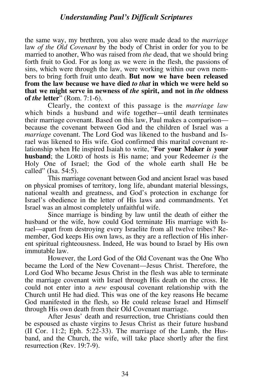the same way, my brethren, you also were made dead to the *marriage* law *of the Old Covenant* by the body of Christ in order for you to be married to another, Who was raised from *the* dead, that we should bring forth fruit to God. For as long as we were in the flesh, the passions of sins, which were through the law, were working within our own members to bring forth fruit unto death. **But now we have been released from the law because we have died** *to that* **in which we were held so that we might serve in newness of** *the* **spirit, and not in** *the* **oldness of** *the* **letter**" (Rom. 7:1-6).

 Clearly, the context of this passage is the *marriage law*  which binds a husband and wife together—until death terminates their marriage covenant. Based on this law, Paul makes a comparison because the covenant between God and the children of Israel was a *marriage* covenant. The Lord God was likened to the husband and Israel was likened to His wife. God confirmed this marital covenant relationship when He inspired Isaiah to write, "**For your Maker** *is* **your husband**; the LORD of hosts is His name; and your Redeemer *is* the Holy One of Israel; the God of the whole earth shall He be called" (Isa. 54:5).

 This marriage covenant between God and ancient Israel was based on physical promises of territory, long life, abundant material blessings, national wealth and greatness, and God's protection in exchange for Israel's obedience in the letter of His laws and commandments. Yet Israel was an almost completely unfaithful wife.

 Since marriage is binding by law until the death of either the husband or the wife, how could God terminate His marriage with Israel—apart from destroying every Israelite from all twelve tribes? Remember, God keeps His own laws, as they are a reflection of His inherent spiritual righteousness. Indeed, He was bound to Israel by His own immutable law.

 However, the Lord God of the Old Covenant was the One Who became the Lord of the New Covenant—Jesus Christ. Therefore, the Lord God Who became Jesus Christ in the flesh was able to terminate the marriage covenant with Israel through His death on the cross. He could not enter into a *new* espousal covenant relationship with the Church until He had died. This was one of the key reasons He became God manifested in the flesh, so He could release Israel and Himself through His own death from their Old Covenant marriage.

 After Jesus' death and resurrection, true Christians could then be espoused as chaste virgins to Jesus Christ as their future husband (II Cor. 11:2; Eph. 5:22-33). The marriage of the Lamb, the Husband, and the Church, the wife, will take place shortly after the first resurrection (Rev. 19:7-9).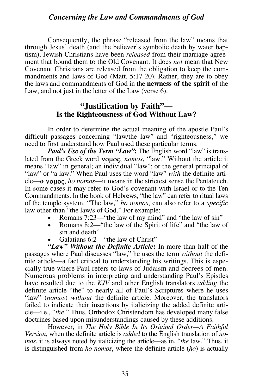Consequently, the phrase "released from the law" means that through Jesus' death (and the believer's symbolic death by water baptism), Jewish Christians have been *released* from their marriage agreement that bound them to the Old Covenant. It does *not* mean that New Covenant Christians are released from the obligation to keep the commandments and laws of God (Matt. 5:17-20). Rather, they are to obey the laws and commandments of God in the **newness of the spirit** of the Law, and not just in the letter of the Law (verse 6).

# **"Justification by Faith"— Is the Righteousness of God Without Law?**

 In order to determine the actual meaning of the apostle Paul's difficult passages concerning "law/the law" and "righteousness," we need to first understand how Paul used these particular terms.

*Paul's Use of the Term "Law"*: The English word "law" is translated from the Greek word **vouoc**, *nomos*, "law." Without the article it means "law" in general; an individual "law"; or the general principal of "law" or "a law." When Paul uses the word "law" *with* the definite article—o **vouos**, *ho nomos*—it means in the strictest sense the Pentateuch. In some cases it may refer to God's covenant with Israel or to the Ten Commandments. In the book of Hebrews, "the law" can refer to ritual laws of the temple system. "The law," *ho nomos*, can also refer to a *specific* law other than "the law/s of God." For example:

- Romans 7:23—"the law of my mind" and "the law of sin"
- Romans 8:2—"the law of the Spirit of life" and "the law of sin and death"
- Galatians 6:2—"the law of Christ"

*"Law" Without the Definite Article***:** In more than half of the passages where Paul discusses "law," he uses the term *without* the definite article—a fact critical to understanding his writings. This is especially true where Paul refers to laws of Judaism and decrees of men. Numerous problems in interpreting and understanding Paul's Epistles have resulted due to the *KJV* and other English translators *adding* the definite article "the" to nearly all of Paul's Scriptures where he uses "law" (*nomos*) *without* the definite article. Moreover, the translators failed to indicate their insertions by italicizing the added definite article—i.e., "*the*." Thus, Orthodox Christendom has developed many false doctrines based upon misunderstandings caused by these additions.

 However, in *The Holy Bible In Its Original Order—A Faithful Version*, when the definite article is *added* to the English translation of *nomos*, it is always noted by italicizing the article—as in, "*the* law." Thus, it is distinguished from *ho nomos*, where the definite article (*ho*) is actually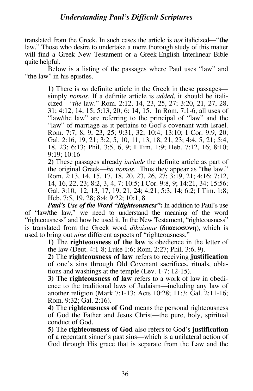translated from the Greek. In such cases the article is *not* italicized—"**the** law." Those who desire to undertake a more thorough study of this matter will find a Greek New Testament or a Greek-English Interlinear Bible quite helpful.

 Below is a listing of the passages where Paul uses "law" and "the law" in his epistles.

> **1)** There is *no* definite article in the Greek in these passages simply *nomos*. If a definite article is *added*, it should be italicized—"*the* law." Rom. 2:12, 14, 23, 25, 27; 3:20, 21, 27, 28, 31; 4:12, 14, 15; 5:13, 20; 6: 14, 15. In Rom. 7:1-6, all uses of "law/the law" are referring to the principal of "law" and the "law" of marriage as it pertains to God's covenant with Israel. Rom. 7:7, 8, 9, 23, 25; 9:31, 32; 10:4; 13:10; I Cor. 9:9, 20; Gal. 2:16, 19, 21; 3:2, 5, 10, 11, 13, 18, 21, 23; 4:4, 5, 21; 5:4, 18, 23; 6:13; Phil. 3:5, 6, 9; I Tim. 1:9; Heb. 7:12, 16; 8:10; 9:19; 10:16

> **2)** These passages already *include* the definite article as part of the original Greek—*ho nomos*. Thus they appear as "**the** law." Rom. 2:13, 14, 15, 17, 18, 20, 23, 26, 27; 3:19, 21; 4:16; 7:12, 14, 16, 22, 23; 8:2, 3, 4, 7; 10:5; I Cor. 9:8, 9; 14:21, 34; 15:56; Gal. 3:10, 12, 13, 17, 19, 21, 24; 4:21; 5:3, 14; 6:2; I Tim. 1:8; Heb. 7:5, 19, 28; 8:4; 9:22; 10:1, 8

 *Paul's Use of the Word "Righteousness"***:** In addition to Paul's use of "law/the law," we need to understand the meaning of the word "righteousness" and how he used it. In the New Testament, "righteousness" is translated from the Greek word *dikaisune* (**δικαιοσυνη**), which is used to bring out *nine* different aspects of "righteousness."

**1)** The **righteousness of the law** is obedience in the letter of the law (Deut. 4:1-8; Luke 1:6; Rom. 2:27; Phil. 3:6, 9).

**2)** The **righteousness of law** refers to receiving **justification** of one's sins through Old Covenant sacrifices, rituals, oblations and washings at the temple (Lev. 1-7; 12-15).

**3)** The **righteousness of law** refers to a work of law in obedience to the traditional laws of Judaism—including any law of another religion (Mark 7:1-13; Acts 10:28; 11:3; Gal. 2:11-16; Rom. 9:32; Gal. 2:16).

**4)** The **righteousness of God** means the personal righteousness of God the Father and Jesus Christ—the pure, holy, spiritual conduct of God.

**5)** The **righteousness of God** also refers to God's **justification** of a repentant sinner's past sins—which is a unilateral action of God through His grace that is separate from the Law and the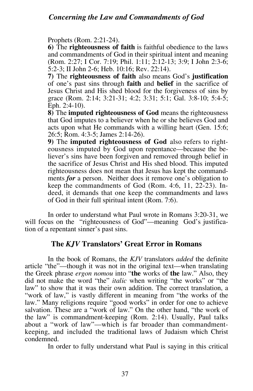Prophets (Rom. 2:21-24).

**6)** The **righteousness of faith** is faithful obedience to the laws and commandments of God in their spiritual intent and meaning (Rom. 2:27; I Cor. 7:19; Phil. 1:11; 2:12-13; 3:9; I John 2:3-6; 5:2-3; II John 2-6; Heb. 10:16; Rev. 22:14).

**7)** The **righteousness of faith** also means God's **justification** of one's past sins through **faith** and **belief** in the sacrifice of Jesus Christ and His shed blood for the forgiveness of sins by grace (Rom. 2:14; 3:21-31; 4:2; 3:31; 5:1; Gal. 3:8-10; 5:4-5; Eph. 2:4-10).

**8)** The **imputed righteousness of God** means the righteousness that God imputes to a believer when he or she believes God and acts upon what He commands with a willing heart (Gen. 15:6; 26:5; Rom. 4:3-5; James 2:14-26).

**9)** The **imputed righteousness of God** also refers to righteousness imputed by God upon repentance—because the believer's sins have been forgiven and removed through belief in the sacrifice of Jesus Christ and His shed blood. This imputed righteousness does not mean that Jesus has kept the commandments *for* a person. Neither does it remove one's obligation to keep the commandments of God (Rom. 4:6, 11, 22-23). Indeed, it demands that one keep the commandments and laws of God in their full spiritual intent (Rom. 7:6).

 In order to understand what Paul wrote in Romans 3:20-31, we will focus on the "righteousness of God"—meaning God's justification of a repentant sinner's past sins.

# **The** *KJV* **Translators' Great Error in Romans**

 In the book of Romans, the *KJV* translators *added* the definite article "the"—though it was not in the original text—when translating the Greek phrase *ergon nomou* into "**the** works of **the** law." Also, they did not make the word "the" *italic* when writing "the works" or "the law" to show that it was their own addition. The correct translation, a "work of law," is vastly different in meaning from "the works of the law." Many religions require "good works" in order for one to achieve salvation. These are a "work of law." On the other hand, "the work of the law" is commandment-keeping (Rom. 2:14). Usually, Paul talks about a "work of law"—which is far broader than commandmentkeeping, and included the traditional laws of Judaism which Christ condemned.

In order to fully understand what Paul is saying in this critical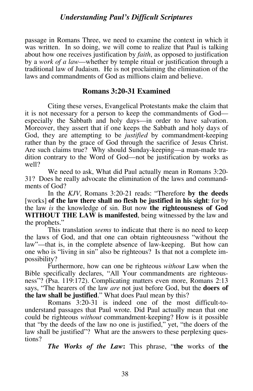passage in Romans Three, we need to examine the context in which it was written. In so doing, we will come to realize that Paul is talking about how one receives justification by *faith*, as opposed to justification by a *work of a law*—whether by temple ritual or justification through a traditional law of Judaism. He is not proclaiming the elimination of the laws and commandments of God as millions claim and believe.

#### **Romans 3:20-31 Examined**

 Citing these verses, Evangelical Protestants make the claim that it is not necessary for a person to keep the commandments of God especially the Sabbath and holy days—in order to have salvation. Moreover, they assert that if one keeps the Sabbath and holy days of God, they are attempting to be *justified* by commandment-keeping rather than by the grace of God through the sacrifice of Jesus Christ. Are such claims true? Why should Sunday-keeping—a man-made tradition contrary to the Word of God—not be justification by works as well?

 We need to ask, What did Paul actually mean in Romans 3:20- 31? Does he really advocate the elimination of the laws and commandments of God?

 In the *KJV*, Romans 3:20-21 reads: "Therefore **by the deeds**  [works] **of the law there shall no flesh be justified in his sight**: for by the law *is* the knowledge of sin. But now **the righteousness of God WITHOUT THE LAW is manifested**, being witnessed by the law and the prophets."

 This translation *seems* to indicate that there is no need to keep the laws of God, and that one can obtain righteousness "without the law"—that is, in the complete absence of law-keeping. But how can one who is "living in sin" also be righteous? Is that not a complete impossibility?

 Furthermore, how can one be righteous *without* Law when the Bible specifically declares, "All Your commandments are righteousness"? (Psa. 119:172). Complicating matters even more, Romans 2:13 says, "The hearers of the law *are* not just before God, but the **doers of the law shall be justified**." What does Paul mean by this?

 Romans 3:20-31 is indeed one of the most difficult-tounderstand passages that Paul wrote. Did Paul actually mean that one could be righteous *without* commandment-keeping? How is it possible that "by the deeds of the law no one is justified," yet, "the doers of the law shall be justified"? What are the answers to these perplexing questions?

*The Works of the Law***:** This phrase, "**the** works of **the**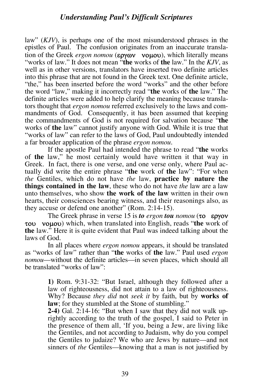law" (*KJV*), is perhaps one of the most misunderstood phrases in the epistles of Paul. The confusion originates from an inaccurate translation of the Greek *ergon nomou* ( $\epsilon \rho y \omega v$  vouv), which literally means "works of law." It does not mean "**the** works of **the** law." In the *KJV*, as well as in other versions, translators have inserted two definite articles into this phrase that are not found in the Greek text. One definite article, "the," has been inserted before the word "works" and the other before the word "law," making it incorrectly read "**the** works of **the** law." The definite articles were added to help clarify the meaning because translators thought that *ergon nomou* referred exclusively to the laws and commandments of God. Consequently, it has been assumed that keeping the commandments of God is not required for salvation because "**the** works of **the** law" cannot justify anyone with God. While it is true that "works of law" can refer to the laws of God, Paul undoubtedly intended a far broader application of the phrase *ergon nomou*.

 If the apostle Paul had intended the phrase to read "**the** works of **the** law," he most certainly would have written it that way in Greek. In fact, there is one verse, and one verse only, where Paul actually did write the entire phrase "**the** work of **the** law": "For when *the* Gentiles, which do not have *the* law, **practice by nature the things contained in the law**, these who do not have *the* law are a law unto themselves, who show **the work of the law** written in their own hearts, their consciences bearing witness, and their reasonings also, as they accuse or defend one another" (Rom. 2:14-15).

The Greek phrase in verse 15 is *to ergon tou nomou* (το εργον ) which, when translated into English, reads "**the** work of **the** law." Here it is quite evident that Paul was indeed talking about the laws of God.

 In all places where *ergon nomou* appears, it should be translated as "works of law" rather than "**the** works of **the** law." Paul used *ergon nomou*—without the definite articles—in seven places, which should all be translated "works of law":

> **1)** Rom. 9:31-32: "But Israel, although they followed after a law of righteousness, did not attain to a law of righteousness. Why? Because *they did* not *seek it* by faith, but by **works of law**; for they stumbled at the Stone of stumbling."

> **2-4)** Gal. 2:14-16: "But when I saw that they did not walk uprightly according to the truth of the gospel, I said to Peter in the presence of them all, 'If you, being a Jew, are living like the Gentiles, and not according to Judaism, why do you compel the Gentiles to judaize? We who are Jews by nature—and not sinners of *the* Gentiles—knowing that a man is not justified by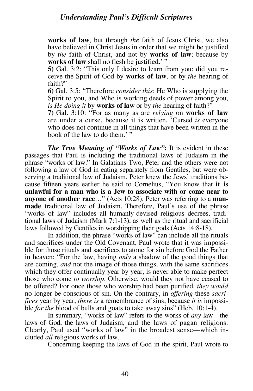**works of law**, but through *the* faith of Jesus Christ, we also have believed in Christ Jesus in order that we might be justified by *the* faith of Christ, and not by **works of law**; because by **works of law** shall no flesh be justified.' "

**5)** Gal. 3:2: "This only I desire to learn from you: did you receive the Spirit of God by **works of law**, or by *the* hearing of faith?"

**6)** Gal. 3:5: "Therefore *consider this*: He Who is supplying the Spirit to you, and Who is working deeds of power among you, *is He doing it* by **works of law** or by *the* hearing of faith?"

**7)** Gal. 3:10: "For as many as are *relying* on **works of law**  are under a curse, because it is written, 'Cursed *is* everyone who does not continue in all things that have been written in the book of the law to do them.'"

*The True Meaning of "Works of Law"***:** It is evident in these passages that Paul is including the traditional laws of Judaism in the phrase "works of law." In Galatians Two, Peter and the others were not following a law of God in eating separately from Gentiles, but were observing a traditional law of Judaism. Peter knew the Jews' traditions because fifteen years earlier he said to Cornelius, "You know that **it is unlawful for a man who is a Jew to associate with or come near to anyone of another race**…" (Acts 10:28). Peter was referring to a **manmade** traditional law of Judaism. Therefore, Paul's use of the phrase "works of law" includes all humanly-devised religious decrees, traditional laws of Judaism (Mark 7:1-13), as well as the ritual and sacrificial laws followed by Gentiles in worshipping their gods (Acts 14:8-18).

 In addition, the phrase "works of law" can include all the rituals and sacrifices under the Old Covenant. Paul wrote that it was impossible for those rituals and sacrifices to atone for sin before God the Father in heaven: "For the law, having *only* a shadow of the good things that are coming, *and* not the image of those things, with the same sacrifices which they offer continually year by year, is never able to make perfect those who come *to worship*. Otherwise, would they not have ceased to be offered? For once those who worship had been purified, *they would*  no longer be conscious of sin. On the contrary, in *offering* these *sacrifices* year by year, *there is* a remembrance of sins; because *it is* impossible *for the* blood of bulls and goats to take away sins" (Heb. 10:1-4).

 In summary, "works of law" refers to the works of *any* law—the laws of God, the laws of Judaism, and the laws of pagan religions. Clearly, Paul used "works of law" in the broadest sense—which included *all* religious works of law.

Concerning keeping the laws of God in the spirit, Paul wrote to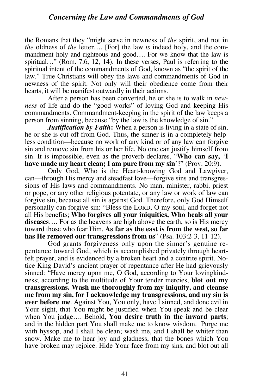the Romans that they "might serve in newness of *the* spirit, and not in *the* oldness of *the* letter…. [For] the law *is* indeed holy, and the commandment holy and righteous and good…. For we know that the law is spiritual…" (Rom. 7:6, 12, 14). In these verses, Paul is referring to the spiritual intent of the commandments of God, known as "the spirit of the law." True Christians will obey the laws and commandments of God in newness of the spirit. Not only will their obedience come from their hearts, it will be manifest outwardly in their actions.

 After a person has been converted, he or she is to walk in *newness* of life and do the "good works" of loving God and keeping His commandments. Commandment-keeping in the spirit of the law keeps a person from sinning, because "by the law is the knowledge of sin."

*Justification by Faith***:** When a person is living in a state of sin, he or she is cut off from God. Thus, the sinner is in a completely helpless condition—because no work of any kind or of any law can forgive sin and remove sin from his or her life. No one can justify himself from sin. It is impossible, even as the proverb declares, "**Who can say,** '**I have made my heart clean; I am pure from my sin**'?" (Prov. 20:9).

 Only God, Who is the Heart-knowing God and Lawgiver, can—through His mercy and steadfast love—forgive sins and transgressions of His laws and commandments. No man, minister, rabbi, priest or pope, or any other religious potentate, or any law or work of law can forgive sin, because all sin is against God. Therefore, only God Himself personally can forgive sin: "Bless the LORD, O my soul, and forget not all His benefits; **Who forgives all your iniquities, Who heals all your diseases**…. For as the heavens are high above the earth, so is His mercy toward those who fear Him. **As far as the east is from the west, so far has He removed our transgressions from us**" (Psa. 103:2-3, 11-12).

 God grants forgiveness only upon the sinner's genuine repentance toward God, which is accomplished privately through heartfelt prayer, and is evidenced by a broken heart and a contrite spirit. Notice King David's ancient prayer of repentance after He had grievously sinned: "Have mercy upon me, O God, according to Your lovingkindness; according to the multitude of Your tender mercies, **blot out my transgressions. Wash me thoroughly from my iniquity, and cleanse me from my sin, for I acknowledge my transgressions, and my sin is ever before me**. Against You, You only, have I sinned, and done evil in Your sight, that You might be justified when You speak and be clear when You judge…. Behold, **You desire truth in the inward parts**; and in the hidden part You shall make me to know wisdom. Purge me with hyssop, and  $\overline{I}$  shall be clean; wash me, and I shall be whiter than snow. Make me to hear joy and gladness, that the bones which You have broken may rejoice. Hide Your face from my sins, and blot out all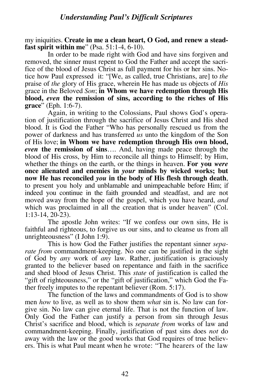my iniquities. **Create in me a clean heart, O God, and renew a steadfast spirit within me**" (Psa. 51:1-4, 6-10).

 In order to be made right with God and have sins forgiven and removed, the sinner must repent to God the Father and accept the sacrifice of the blood of Jesus Christ as full payment for his or her sins. Notice how Paul expressed it: "[We, as called, true Christians, are] to *the* praise of *the* glory of His grace, wherein He has made us objects of *His* grace in the Beloved *Son*; **in Whom we have redemption through His blood,** *even* **the remission of sins, according to the riches of His grace**" (Eph. 1:6-7).

 Again, in writing to the Colossians, Paul shows God's operation of justification through the sacrifice of Jesus Christ and His shed blood. It is God the Father "Who has personally rescued us from the power of darkness and has transferred *us* unto the kingdom of the Son of His love; **in Whom we have redemption through His own blood,**  *even* **the remission of sins**…. And, having made peace through the blood of His cross, by Him to reconcile all things to Himself; by Him, whether the things on the earth, or the things in heaven. **For you** *were* **once alienated and enemies in** *your* **minds by wicked works; but now He has reconciled** *you* **in the body of His flesh through death**, to present you holy and unblamable and unimpeachable before Him; if indeed you continue in the faith grounded and steadfast, and are not moved away from the hope of the gospel, which you have heard, *and* which was proclaimed in all the creation that is under heaven" (Col. 1:13-14, 20-23).

 The apostle John writes: "If we confess our own sins, He is faithful and righteous, to forgive us our sins, and to cleanse us from all unrighteousness" (I John 1:9).

 This is how God the Father justifies the repentant sinner *separate from* commandment-keeping. No one can be justified in the sight of God by *any* work of *any* law. Rather, justification is graciously granted to the believer based on repentance and faith in the sacrifice and shed blood of Jesus Christ. This *state* of justification is called the "gift of righteousness," or the "gift of justification," which God the Father freely imputes to the repentant believer (Rom. 5:17).

 The function of the laws and commandments of God is to show men *how* to live, as well as to show them *what* sin is. No law can forgive sin. No law can give eternal life. That is not the function of law. Only God the Father can justify a person from sin through Jesus Christ's sacrifice and blood, which is *separate from* works of law and commandment-keeping. Finally, justification of past sins does *not* do away with the law or the good works that God requires of true believers. This is what Paul meant when he wrote: "The hearers of the law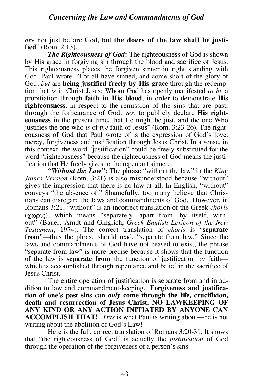*are* not just before God, but **the doers of the law shall be justified**" (Rom. 2:13).

*The Righteousness of God***:** The righteousness of God is shown by His grace in forgiving sin through the blood and sacrifice of Jesus. This righteousness places the forgiven sinner in right standing with God. Paul wrote: "For all have sinned, and come short of the glory of God; *but* are **being justified freely by His grace** through the redemption that *is* in Christ Jesus; Whom God has openly manifested *to be* a propitiation through **faith in His blood**, in order to demonstrate **His righteousness**, in respect to the remission of the sins that are past, through the forbearance of God; *yes*, to publicly declare **His righteousness** in the present time, that He might be just, and the one Who justifies the one who *is* of *the* faith of Jesus" (Rom. 3:23-26). The righteousness of God that Paul wrote of is the expression of God's love, mercy, forgiveness and justification through Jesus Christ. In a sense, in this context, the word "justification" could be freely substituted for the word "righteousness" because the righteousness of God means the justification that He freely gives to the repentant sinner.

*"Without the Law"***:** The phrase "without the law" in the *King James Version* (Rom. 3:21) is also misunderstood because "without" gives the impression that there is no law at all. In English, "without" conveys "the absence of." Shamefully, too many believe that Christians can disregard the laws and commandments of God. However, in Romans 3:21, "without" is an incorrect translation of the Greek *chori*s ( $\gamma$ <sup>o</sup>ot), which means "separately, apart from, by itself, without" (Bauer, Arndt and Gingrich, *Greek English Lexicon of the New Testament*, 1974). The correct translation of *choris* is "**separate from**"—thus the phrase should read, "separate from law." Since the laws and commandments of God have not ceased to exist, the phrase "separate from law" is more precise because it shows that the function of the law is **separate from** the function of justification by faith which is accomplished through repentance and belief in the sacrifice of Jesus Christ.

 The entire operation of justification is separate from and in addition to law and commandment-keeping. **Forgiveness and justification of one's past sins can** *only* **come through the life, crucifixion, death and resurrection of Jesus Christ. NO LAWKEEPING OF ANY KIND OR ANY ACTION INITIATED BY ANYONE CAN ACCOMPLISH THAT!** *This* is what Paul is writing about—he is not writing about the abolition of God's Law!

 Here is the full, correct translation of Romans 3:20-31. It shows that "the righteousness of God" is actually the *justification* of God through the operation of the forgiveness of a person's sins: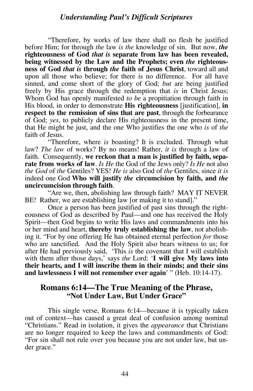"Therefore, by works of law there shall no flesh be justified before Him; for through *the* law *is the* knowledge of sin. But now, *the* **righteousness of God** *that is* **separate from law has been revealed, being witnessed by the Law and the Prophets; even** *the* **righteousness of God** *that is* **through** *the* **faith of Jesus Christ**, toward all and upon all those who believe; for there is no difference. For all have sinned, and come short of the glory of God; *but* are being justified freely by His grace through the redemption that *is* in Christ Jesus; Whom God has openly manifested *to be* a propitiation through faith in His blood, in order to demonstrate **His righteousness** [justification], **in respect to the remission of sins that are past**, through the forbearance of God; *yes*, to publicly declare His righteousness in the present time, that He might be just, and the one Who justifies the one who *is* of *the* faith of Jesus.

 "Therefore, where *is* boasting? It is excluded. Through what law? *The law* of works? By no means! Rather, *it is* through a law of faith. Consequently, **we reckon that a man is justified by faith, separate from works of law**. *Is He* the God of the Jews only? *Is He* not also *the God* of *the* Gentiles? YES! *He is* also God of *the* Gentiles, since *it is*  indeed one God **Who will justify** *the* **circumcision by faith, and** *the* **uncircumcision through faith**.

 "Are we, then, abolishing law through faith? MAY IT NEVER BE! Rather, we are establishing law [or making it to stand]."

 Once a person has been justified of past sins through the righteousness of God as described by Paul—and one has received the Holy Spirit—then God begins to write His laws and commandments into his or her mind and heart, **thereby truly establishing the law**, not abolishing it. "For by one offering He has obtained eternal perfection *for* those who are sanctified. And the Holy Spirit also bears witness to us; for after He had previously said, 'This *is* the covenant that I will establish with them after those days,' says *the* Lord: '**I will give My laws into their hearts, and I will inscribe them in their minds; and their sins and lawlessness I will not remember ever again**' " (Heb. 10:14-17).

#### **Romans 6:14—The True Meaning of the Phrase, "Not Under Law, But Under Grace"**

 This single verse, Romans 6:14—because it is typically taken out of context—has caused a great deal of confusion among nominal "Christians." Read in isolation, it gives the *appearance* that Christians are no longer required to keep the laws and commandments of God: "For sin shall not rule over you because you are not under law, but under grace."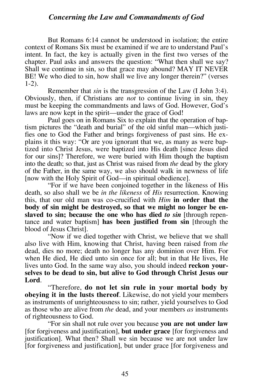But Romans 6:14 cannot be understood in isolation; the entire context of Romans Six must be examined if we are to understand Paul's intent. In fact, the key is actually given in the first two verses of the chapter. Paul asks and answers the question: "What then shall we say? Shall we continue in sin, so that grace may abound? MAY IT NEVER BE! We who died to sin, how shall we live any longer therein?" (verses 1-2).

 Remember that *sin* is the transgression of the Law (I John 3:4). Obviously, then, if Christians are *not* to continue living in sin, they must be keeping the commandments and laws of God. However, God's laws are now kept in the spirit—under the grace of God!

 Paul goes on in Romans Six to explain that the operation of baptism pictures the "death and burial" of the old sinful man—which justifies one to God the Father and brings forgiveness of past sins. He explains it this way: "Or are you ignorant that we, as many as were baptized into Christ Jesus, were baptized into His death [since Jesus died for our sins]? Therefore, we were buried with Him though the baptism into the death; so that, just as Christ was raised from *the* dead by the glory of the Father, in the same way, we also should walk in newness of life [now with the Holy Spirit of God—in spiritual obedience].

 "For if we have been conjoined together in the likeness of His death, so also shall we be *in the likeness* of *His* resurrection. Knowing this, that our old man was co-crucified with *Him* **in order that the body of sin might be destroyed, so that we might no longer be enslaved to sin; because the one who has died** *to sin* [through repentance and water baptism] **has been justified from sin** [through the blood of Jesus Christ].

 "Now if we died together with Christ, we believe that we shall also live with Him, knowing that Christ, having been raised from *the* dead, dies no more; death no longer has any dominion over Him. For when He died, He died unto sin once for all; but in that He lives, He lives unto God. In the same way also, you should indeed **reckon yourselves to be dead to sin, but alive to God through Christ Jesus our Lord**.

 "Therefore, **do not let sin rule in your mortal body by obeying it in the lusts thereof**. Likewise, do not yield your members as instruments of unrighteousness to sin; rather, yield yourselves to God as those who are alive from *the* dead, and your members *as* instruments of righteousness to God.

 "For sin shall not rule over you because **you are not under law**  [for forgiveness and justification], **but under grace** [for forgiveness and justification]. What then? Shall we sin because we are not under law [for forgiveness and justification], but under grace [for forgiveness and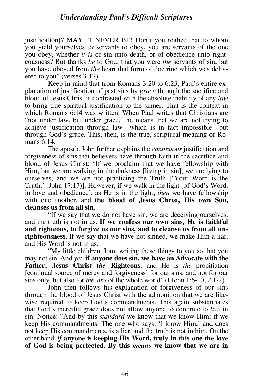justification]? MAY IT NEVER BE! Don't you realize that to whom you yield yourselves *as* servants to obey, you are servants of the one you obey, whether *it is* of sin unto death, or of obedience unto righteousness? But thanks *be* to God, that you were *the* servants of sin, but you have obeyed from *the* heart that form of doctrine which was delivered to you" (verses 3-17).

 Keep in mind that from Romans 3:20 to 6:23, Paul's entire explanation of justification of past sins by *grace* through the sacrifice and blood of Jesus Christ is contrasted with the absolute inability of any *law* to bring true spiritual justification to the sinner. That is the context in which Romans 6:14 was written. When Paul writes that Christians are "not under law, but under grace," he means that we are not trying to achieve justification through law—which is in fact impossible—but through God's grace. This, then, is the true, scriptural meaning of Romans 6:14.

 The apostle John further explains the *continuous* justification and forgiveness of sins that believers have through faith in the sacrifice and blood of Jesus Christ: "If we proclaim that we have fellowship with Him, but we are walking in the darkness [living in sin], we are lying to ourselves, and we are not practicing the Truth ['Your Word is the Truth,' (John 17:17)]. However, if we walk in the light [of God's Word, in love and obedience], as He is in the light, *then* we have fellowship with one another, and **the blood of Jesus Christ, His own Son, cleanses us from all sin**.

 "If we say that we do not have sin, we are deceiving ourselves, and the truth is not in us. **If we confess our own sins, He is faithful and righteous, to forgive us our sins, and to cleanse us from all unrighteousness**. If we say that we have not sinned, we make Him a liar, and His Word is not in us.

 "My little children, I am writing these things to you so that you may not sin. And *yet*, **if anyone does sin, we have an Advocate with the Father; Jesus Christ** *the* **Righteous**; and He is *the* propitiation [continual source of mercy and forgiveness] for our sins; and not for our sins only, but also for *the sins* of the whole world" (I John 1:6-10; 2:1-2).

 John then follows his explanation of forgiveness of our sins through the blood of Jesus Christ with the admonition that we are likewise required to keep God's commandments. This again substantiates that God's merciful grace does not allow anyone to continue to *live* in sin. Notice: "And by this *standard* we know that we know Him: if we keep His commandments. The one who says, 'I know Him,' and does not keep His commandments, is a liar, and the truth is not in him. On the other hand, *if* **anyone is keeping His Word, truly in this one the love of God is being perfected. By this** *means* **we know that we are in**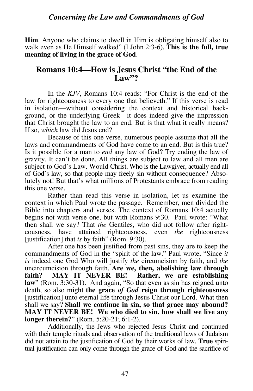**Him**. Anyone who claims to dwell in Him is obligating himself also to walk even as He Himself walked" (I John 2:3-6). **This is the full, true meaning of living in the grace of God**.

# **Romans 10:4—How is Jesus Christ "the End of the Law"?**

 In the *KJV*, Romans 10:4 reads: "For Christ is the end of the law for righteousness to every one that believeth." If this verse is read in isolation—without considering the context and historical background, or the underlying Greek—it does indeed give the impression that Christ brought the law to an end. But is that what it really means? If so, *which* law did Jesus end?

 Because of this one verse, numerous people assume that all the laws and commandments of God have come to an end. But is this true? Is it possible for a man to *end* any law of God? Try ending the law of gravity. It can't be done. All things are subject to law and all men are subject to God's Law. Would Christ, Who is the Lawgiver, actually end all of God's law, so that people may freely sin without consequence? Absolutely not! But that's what millions of Protestants embrace from reading this one verse.

 Rather than read this verse in isolation, let us examine the context in which Paul wrote the passage. Remember, men divided the Bible into chapters and verses. The context of Romans 10:4 actually begins not with verse one, but with Romans 9:30. Paul wrote: "What then shall we say? That *the* Gentiles, who did not follow after righteousness, have attained righteousness, even *the* righteousness [justification] that *is* by faith" (Rom. 9:30).

 After one has been justified from past sins, they are to keep the commandments of God in the "spirit of the law." Paul wrote, "Since *it is* indeed one God Who will justify *the* circumcision by faith, and *the* uncircumcision through faith. **Are we, then, abolishing law through faith? MAY IT NEVER BE! Rather, we are establishing**  law" (Rom. 3:30-31). And again, "So that even as sin has reigned unto death, so also might **the grace** *of God* **reign through righteousness** [justification] unto eternal life through Jesus Christ our Lord. What then shall we say? **Shall we continue in sin, so that grace may abound? MAY IT NEVER BE! We who died to sin, how shall we live any longer therein?**" (Rom. 5:20-21; 6:1-2).

 Additionally, the Jews who rejected Jesus Christ and continued with their temple rituals and observation of the traditional laws of Judaism did not attain to the justification of God by their works of law. **True** spiritual justification can only come through the grace of God and the sacrifice of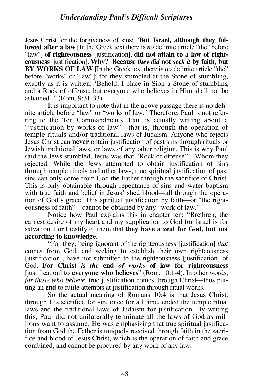Jesus Christ for the forgiveness of sins: "**But Israel, although they followed after a law** [In the Greek text there is *no* definite article "the" before "law"] **of righteousness** [justification], **did not attain to a law of righteousness** [justification]. **Why? Because** *they did* **not** *seek it* **by faith, but BY WORKS OF LAW** [In the Greek text there is *no* definite article "the" before "works" or "law"]; for they stumbled at the Stone of stumbling, exactly as it is written: 'Behold, I place in Sion a Stone of stumbling and a Rock of offense, but everyone who believes in Him shall not be ashamed' " (Rom. 9:31-33).

 It is important to note that in the above passage there is no definite article before "law" or "works of law." Therefore, Paul is not referring to the Ten Commandments. Paul is actually writing about a "justification by works of law"—that is, through the operation of temple rituals and/or traditional laws of Judaism. Anyone who rejects Jesus Christ can **never** obtain justification of past sins through rituals or Jewish traditional laws, or laws of any other religion. This is why Paul said the Jews stumbled; Jesus was that "Rock of offense"—Whom they rejected. While the Jews attempted to obtain justification of sins through temple rituals and other laws, true spiritual justification of past sins can only come from God the Father through the sacrifice of Christ. This is only obtainable through repentance of sins and water baptism with true faith and belief in Jesus' shed blood—all through the operation of God's grace. This spiritual justification by faith—or "the righteousness of faith"—cannot be obtained by any "work of law."

 Notice how Paul explains this in chapter ten: "Brethren, the earnest desire of my heart and my supplication to God for Israel is for salvation. For I testify of them that **they have a zeal for God, but not according to knowledge**.

 "For they, being ignorant of the righteousness [justification] *that* comes from God, and seeking to establish their own righteousness [justification], have not submitted to the righteousness [justification] of God. **For Christ** *is the* **end** *of works* **of law for righteousness**  [justification] **to everyone who believes**" (Rom. 10:1-4). In other words, *for those who believe*, true justification comes through Christ—thus putting an **end** to futile attempts at justification through ritual works.

 So the actual meaning of Romans 10:4 is that Jesus Christ, through His sacrifice for sin, once for all time, ended the temple ritual laws and the traditional laws of Judaism for justification. By writing this, Paul did not unilaterally terminate all the laws of God as millions want to assume. He was emphasizing that true spiritual justification from God the Father is uniquely received through faith in the sacrifice and blood of Jesus Christ, which is the operation of faith and grace combined, and cannot be procured by any work of any law.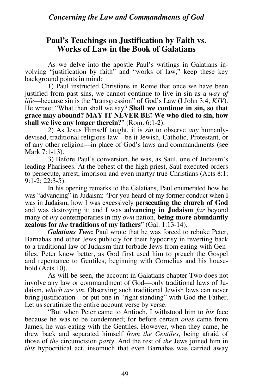# **Paul's Teachings on Justification by Faith vs. Works of Law in the Book of Galatians**

 As we delve into the apostle Paul's writings in Galatians involving "justification by faith" and "works of law," keep these key background points in mind:

 1) Paul instructed Christians in Rome that once we have been justified from past sins, we cannot continue to live in sin as a *way of life*—because sin is the "transgression" of God's Law (I John 3:4, *KJV*). He wrote: "What then shall we say? **Shall we continue in sin, so that grace may abound? MAY IT NEVER BE! We who died to sin, how shall we live any longer therein?**" (Rom. 6:1-2).

 2) As Jesus Himself taught, it is *sin* to observe *any* humanlydevised, traditional religious law—be it Jewish, Catholic, Protestant, or of any other religion—in place of God's laws and commandments (see Mark 7:1-13).

 3) Before Paul's conversion, he was, as Saul, one of Judaism's leading Pharisees. At the behest of the high priest, Saul executed orders to persecute, arrest, imprison and even martyr true Christians (Acts 8:1;  $9:1-2:22:3-5$ .

 In his opening remarks to the Galatians, Paul enumerated how he was "advancing" in Judaism: "For you heard of my former conduct when I was in Judaism, how I was excessively **persecuting the church of God**  and was destroying it; and I was **advancing in Judaism** *far* beyond many of *my* contemporaries in my *own* nation, **being more abundantly zealous for** *the* **traditions of my fathers**" (Gal. 1:13-14).

*Galatians Two***:** Paul wrote that he was forced to rebuke Peter, Barnabas and other Jews publicly for their hypocrisy in reverting back to a traditional law of Judaism that forbade Jews from eating with Gentiles. Peter knew better, as God first used him to preach the Gospel and repentance to Gentiles, beginning with Cornelius and his household (Acts 10).

 As will be seen, the account in Galatians chapter Two does not involve any law or commandment of God—only traditional laws of Judaism, *which are sin*. Observing such traditional Jewish laws can never bring justification—or put one in "right standing" with God the Father. Let us scrutinize the entire account verse by verse:

 "But when Peter came to Antioch, I withstood him to *his* face because he was to be condemned; for before certain *ones* came from James, he was eating with the Gentiles. However, when they came, he drew back and separated himself *from the Gentiles*, being afraid of those of *the* circumcision *party*. And the rest of *the* Jews joined him in *this* hypocritical act, insomuch that even Barnabas was carried away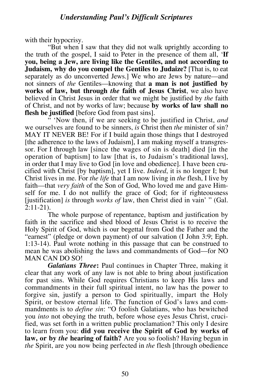with their hypocrisy.

 "But when I saw that they did not walk uprightly according to the truth of the gospel, I said to Peter in the presence of them all, '**If you, being a Jew, are living like the Gentiles, and not according to Judaism, why do you compel the Gentiles to Judaize?** [That is, to eat separately as do unconverted Jews.] We who are Jews by nature—and not sinners of *the* Gentiles—knowing that **a man is not justified by works of law, but through** *the* **faith of Jesus Christ**, we also have believed in Christ Jesus in order that we might be justified by *the* faith of Christ, and not by works of law; because **by works of law shall no flesh be justified** [before God from past sins].

 " 'Now then, if we are seeking to be justified in Christ, *and* we ourselves are found to be sinners, *is* Christ then *the* minister of sin? MAY IT NEVER BE! For if I build again those things that I destroyed [the adherence to the laws of Judaism], I am making myself a transgressor. For I through law [since the wages of sin is death] died [in the operation of baptism] to law [that is, to Judaism's traditional laws], in order that I may live to God [in love and obedience]. I have been crucified with Christ [by baptism], yet I live. *Indeed*, it is no longer I; but Christ lives in me. For *the life* that I am now living in *the* flesh, I live by faith—that *very faith* of the Son of God, Who loved me and gave Himself for me. I do not nullify the grace of God; for if righteousness [justification] *is* through *works of* law, then Christ died in vain' " (Gal. 2:11-21).

 The whole purpose of repentance, baptism and justification by faith in the sacrifice and shed blood of Jesus Christ is to receive the Holy Spirit of God, which is our begettal from God the Father and the "earnest" (pledge or down payment) of our salvation (I John 3:9; Eph. 1:13-14). Paul wrote nothing in this passage that can be construed to mean he was abolishing the laws and commandments of God—for NO MAN CAN DO SO!

*Galatians Three***:** Paul continues in Chapter Three, making it clear that any work of any law is not able to bring about justification for past sins. While God requires Christians to keep His laws and commandments in their full spiritual intent, no law has the power to forgive sin, justify a person to God spiritually, impart the Holy Spirit, or bestow eternal life. The function of God's laws and commandments is to *define sin*: "O foolish Galatians, who has bewitched you *into* not obeying the truth, before whose eyes Jesus Christ, crucified, was set forth in a written public proclamation? This only I desire to learn from you: **did you receive the Spirit of God by works of law, or by** *the* **hearing of faith?** Are you so foolish? Having begun in *the* Spirit, are you now being perfected in *the* flesh [through obedience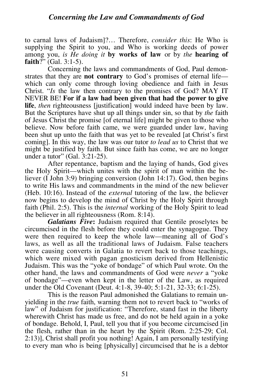to carnal laws of Judaism]?… Therefore, *consider this*: He Who is supplying the Spirit to you, and Who is working deeds of power among you, *is He doing it* **by works of law** or by *the* **hearing of faith**?" (Gal. 3:1-5).

 Concerning the laws and commandments of God, Paul demonstrates that they are **not contrary** to God's promises of eternal life which can only come through loving obedience and faith in Jesus Christ. "*Is* the law then contrary to the promises of God? MAY IT NEVER BE! **For if a law had been given that had the power to give life**, *then* righteousness [justification] would indeed have been by law. But the Scriptures have shut up all things under sin, so that by *the* faith of Jesus Christ the promise [of eternal life] might be given to those who believe. Now before faith came, we were guarded under law, having been shut up unto the faith that was yet to be revealed [at Christ's first coming]. In this way, the law was our tutor *to lead us* to Christ that we might be justified by faith. But since faith has come, we are no longer under a tutor" (Gal. 3:21-25).

 After repentance, baptism and the laying of hands, God gives the Holy Spirit—which unites with the spirit of man within the believer (I John 3:9) bringing conversion (John 14:17). God, then begins to write His laws and commandments in the mind of the new believer (Heb. 10:16). Instead of the *external* tutoring of the law, the believer now begins to develop the mind of Christ by the Holy Spirit through faith (Phil. 2:5). This is the *internal* working of the Holy Spirit to lead the believer in all righteousness (Rom. 8:14).

*Galatians Five***:** Judaism required that Gentile proselytes be circumcised in the flesh before they could enter the synagogue. They were then required to keep the whole law—meaning all of God's laws, as well as all the traditional laws of Judaism. False teachers were causing converts in Galatia to revert back to those teachings, which were mixed with pagan gnosticism derived from Hellenistic Judaism. This was the "yoke of bondage" of which Paul wrote. On the other hand, the laws and commandments of God were *never* a "yoke of bondage"—even when kept in the letter of the Law, as required under the Old Covenant (Deut. 4:1-8, 39-40; 5:1-21, 32-33; 6:1-25).

 This is the reason Paul admonished the Galatians to remain unyielding in the *true* faith, warning them not to revert back to "works of law" of Judaism for justification: "Therefore, stand fast in the liberty wherewith Christ has made us free, and do not be held again in a yoke of bondage. Behold, I, Paul, tell you that if you become circumcised [in the flesh, rather than in the heart by the Spirit (Rom. 2:25-29; Col. 2:13)], Christ shall profit you nothing! Again, I am personally testifying to every man who is being [physically] circumcised that he is a debtor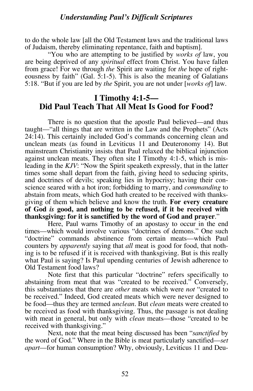to do the whole law [all the Old Testament laws and the traditional laws of Judaism, thereby eliminating repentance, faith and baptism].

 "You who are attempting to be justified by *works of* law, you are being deprived of any *spiritual* effect from Christ. You have fallen from grace! For we through *the* Spirit are waiting for *the* hope of righteousness by faith" (Gal. 5:1-5). This is also the meaning of Galatians 5:18. "But if you are led by *the* Spirit, you are not under [*works of*] law.

# **I Timothy 4:1-5— Did Paul Teach That All Meat Is Good for Food?**

 There is no question that the apostle Paul believed—and thus taught—"all things that are written in the Law and the Prophets" (Acts 24:14). This certainly included God's commands concerning clean and unclean meats (as found in Leviticus 11 and Deuteronomy 14). But mainstream Christianity insists that Paul relaxed the biblical injunction against unclean meats. They often site I Timothy 4:1-5, which is misleading in the *KJV*: "Now the Spirit speaketh expressly, that in the latter times some shall depart from the faith, giving heed to seducing spirits, and doctrines of devils; speaking lies in hypocrisy; having their conscience seared with a hot iron; forbidding to marry, and *commanding* to abstain from meats, which God hath created to be received with thanksgiving of them which believe and know the truth. **For every creature of God** *is* **good, and nothing to be refused, if it be received with thanksgiving: for it is sanctified by the word of God and prayer**."

 Here, Paul warns Timothy of an apostasy to occur in the end times—which would involve various "doctrines of demons." One such "doctrine" commands abstinence from certain meats—which Paul counters by *apparently* saying that *all* meat is good for food, that nothing is to be refused if it is received with thanksgiving. But is this really what Paul is saying? Is Paul upending centuries of Jewish adherence to Old Testament food laws?

 Note first that this particular "doctrine" refers specifically to abstaining from meat that was "created to be received." Conversely, this substantiates that there are *other* meats which were *not* "created to be received." Indeed, God created meats which were never designed to be food—thus they are termed *unclean*. But *clean* meats were created to be received as food with thanksgiving. Thus, the passage is not dealing with meat in general, but only with *clean* meats—those "created to be received with thanksgiving."

 Next, note that the meat being discussed has been "*sanctified* by the word of God." Where in the Bible is meat particularly sanctified—*set apart*—for human consumption? Why, obviously, Leviticus 11 and Deu-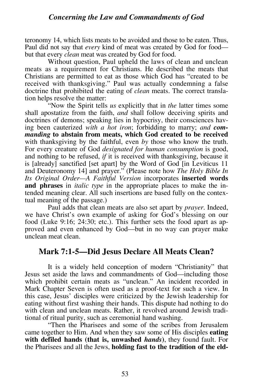teronomy 14, which lists meats to be avoided and those to be eaten. Thus, Paul did not say that *every* kind of meat was created by God for food but that every *clean* meat was created by God for food.

 Without question, Paul upheld the laws of clean and unclean meats as a requirement for Christians. He described the meats that Christians are permitted to eat as those which God has "created to be received with thanksgiving." Paul was actually condemning a false doctrine that prohibited the eating of *clean* meats. The correct translation helps resolve the matter:

 "Now the Spirit tells *us* explicitly that in *the* latter times some shall apostatize from the faith, *and* shall follow deceiving spirits and doctrines of demons; speaking lies in hypocrisy, their consciences having been cauterized *with a hot iron*; forbidding to marry; *and commanding* **to abstain from meats, which God created to be received** with thanksgiving by the faithful, even *by* those who know the truth. For every creature of God *designated for human consumption* is good, and nothing to be refused, *if* it is received with thanksgiving, because it is [already] sanctified [set apart] by the Word of God [in Leviticus 11 and Deuteronomy 14] and prayer." (Please note how *The Holy Bible In Its Original Order—A Faithful Version* incorporates **inserted words and phrases** in *italic type* in the appropriate places to make the intended meaning clear. All such insertions are based fully on the contextual meaning of the passage.)

 Paul adds that clean meats are also set apart by *prayer*. Indeed, we have Christ's own example of asking for God's blessing on our food (Luke 9:16; 24:30; etc.). This further sets the food apart as approved and even enhanced by God—but in no way can prayer make unclean meat clean.

# **Mark 7:1-5—Did Jesus Declare All Meats Clean?**

 It is a widely held conception of modern "Christianity" that Jesus set aside the laws and commandments of God—including those which prohibit certain meats as "unclean." An incident recorded in Mark Chapter Seven is often used as a proof-text for such a view. In this case, Jesus' disciples were criticized by the Jewish leadership for eating without first washing their hands. This dispute had nothing to do with clean and unclean meats. Rather, it revolved around Jewish traditional of ritual purity, such as ceremonial hand washing.

 "Then the Pharisees and some of the scribes from Jerusalem came together to Him. And when they saw some of His disciples **eating with defiled hands (that is, unwashed** *hands***)**, they found fault. For the Pharisees and all the Jews, **holding fast to the tradition of the eld-**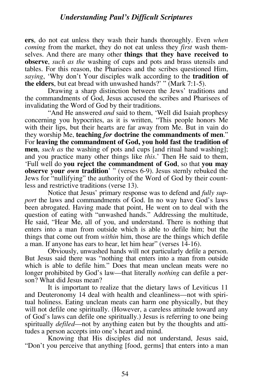**ers**, do not eat unless they wash their hands thoroughly. Even *when coming* from the market, they do not eat unless they *first* wash themselves. And there are many other **things that they have received to observe**, *such as the* washing of cups and pots and brass utensils and tables. For this reason, the Pharisees and the scribes questioned Him, *saying*, 'Why don't Your disciples walk according to the **tradition of the elders**, but eat bread with unwashed hands?' " (Mark 7:1-5).

 Drawing a sharp distinction between the Jews' traditions and the commandments of God, Jesus accused the scribes and Pharisees of invalidating the Word of God by their traditions.

 "And He answered *and* said to them, 'Well did Isaiah prophesy concerning you hypocrites, as it is written, "This people honors Me with their lips, but their hearts are far away from Me. But in vain do they worship Me, **teaching** *for* **doctrine the commandments of men**." For **leaving the commandment of God, you hold fast the tradition of men**, *such as* the washing of pots and cups [and ritual hand washing]; and you practice many other things like *this*.' Then He said to them, 'Full well do **you reject the commandment of God**, so that **you may observe your** *own* **tradition**' " (verses 6-9). Jesus sternly rebuked the Jews for "nullifying" the authority of the Word of God by their countless and restrictive traditions (verse 13).

 Notice that Jesus' primary response was to defend and *fully support* the laws and commandments of God. In no way have God's laws been abrogated. Having made that point, He went on to deal with the question of eating with "unwashed hands." Addressing the multitude, He said, "Hear Me, all of you, and understand. There is nothing that enters into a man from outside which is able to defile him; but the things that come out from *within* him, those are the things which defile a man. If anyone has ears to hear, let him hear" (verses 14-16).

 Obviously, unwashed hands will not particularly defile a person. But Jesus said there was "nothing that enters into a man from outside which is able to defile him." Does that mean unclean meats were no longer prohibited by God's law—that literally *nothing* can defile a person? What did Jesus mean?

 It is important to realize that the dietary laws of Leviticus 11 and Deuteronomy 14 deal with health and cleanliness—not with spiritual holiness. Eating unclean meats can harm one physically, but they will not defile one spiritually. (However, a careless attitude toward any of God's laws can defile one spiritually.) Jesus is referring to one being spiritually *defiled*—not by anything eaten but by the thoughts and attitudes a person accepts into one's heart and mind.

 Knowing that His disciples did not understand, Jesus said, "Don't you perceive that anything [food, germs] that enters into a man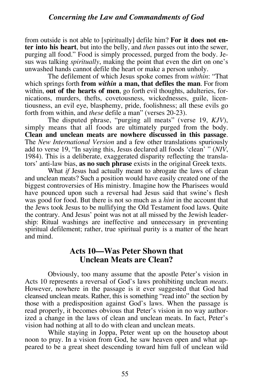from outside is not able to [spiritually] defile him? **For it does not enter into his heart**, but into the belly, and *then* passes out into the sewer, purging all food." Food is simply processed, purged from the body. Jesus was talking *spiritually*, making the point that even the dirt on one's unwashed hands cannot defile the heart or make a person unholy.

 The defilement of which Jesus spoke comes from *within*: "That which springs forth **from** *within* **a man, that defiles the man**. For from within, **out of the hearts of men**, go forth evil thoughts, adulteries, fornications, murders, thefts, covetousness, wickednesses, guile, licentiousness, an evil eye, blasphemy, pride, foolishness; all these evils go forth from within, and *these* defile a man" (verses 20-23).

 The disputed phrase, "purging all meats" (verse 19, *KJV*), simply means that all foods are ultimately purged from the body. **Clean and unclean meats are nowhere discussed in this passage**. The *New International Version* and a few other translations spuriously add to verse 19, "In saying this, Jesus declared all foods 'clean' " (*NIV*, 1984). This is a deliberate, exaggerated disparity reflecting the translators' anti-law bias, **as no such phrase** exists in the original Greek texts.

 What *if* Jesus had actually meant to abrogate the laws of clean and unclean meats? Such a position would have easily created one of the biggest controversies of His ministry. Imagine how the Pharisees would have pounced upon such a reversal had Jesus said that swine's flesh was good for food. But there is not so much as a *hint* in the account that the Jews took Jesus to be nullifying the Old Testament food laws. Quite the contrary. And Jesus' point was not at all missed by the Jewish leadership: Ritual washings are ineffective and unnecessary in preventing spiritual defilement; rather, true spiritual purity is a matter of the heart and mind.

# **Acts 10—Was Peter Shown that Unclean Meats are Clean?**

 Obviously, too many assume that the apostle Peter's vision in Acts 10 represents a reversal of God's laws prohibiting unclean *meats*. However, nowhere in the passage is it ever suggested that God had cleansed unclean meats. Rather, this is something "read into" the section by those with a predisposition against God's laws. When the passage is read properly, it becomes obvious that Peter's vision in no way authorized a change in the laws of clean and unclean meats. In fact, Peter's vision had nothing at all to do with clean and unclean meats.

 While staying in Joppa, Peter went up on the housetop about noon to pray. In a vision from God, he saw heaven open and what appeared to be a great sheet descending toward him full of unclean wild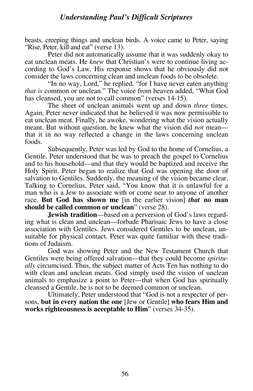beasts, creeping things and unclean birds. A voice came to Peter, saying "Rise, Peter, kill and eat" (verse 13).

 Peter did not automatically assume that it was suddenly okay to eat unclean meats. He *knew* that Christian's were to continue living according to God's Law. His response shows that he obviously did not consider the laws concerning clean and unclean foods to be obsolete.

 "In no way, Lord," he replied, "for I have never eaten anything *that is* common or unclean." The voice from heaven added, "What God has cleansed, you are not to call common" (verses 14-15).

 The sheet of unclean animals went up and down *three* times. Again, Peter never indicated that he believed it was now permissible to eat unclean meat. Finally, he awoke, wondering what the vision actually meant. But without question, he knew what the vision did *not* mean that it in no way reflected a change in the laws concerning unclean foods.

 Subsequently, Peter was led by God to the home of Cornelius, a Gentile. Peter understood that he was to preach the gospel to Cornelius and to his household—and that they would be baptized and receive the Holy Spirit. Peter began to realize that God was opening the door of salvation to Gentiles. Suddenly, the meaning of the vision became clear. Talking to Cornelius, Peter said, "You know that it is unlawful for a man who is a Jew to associate with or come near to anyone of another race. **But God has shown me** [in the earlier vision] *that* **no man should be called common or unclean**" (verse 28).

**Jewish tradition—based on a perversion of God's laws regard**ing what is clean and unclean—forbade Pharisaic Jews to have a close association with Gentiles. Jews considered Gentiles to be unclean, unsuitable for physical contact. Peter was quite familiar with these traditions of Judaism.

 God was showing Peter and the New Testament Church that Gentiles were being offered salvation—that they could become *spiritually* circumcised. Thus, the subject matter of Acts Ten has nothing to do with clean and unclean meats. God simply used the vision of unclean animals to emphasize a point to Peter—that when God has spiritually cleansed a Gentile, he is not to be deemed common or unclean.

 Ultimately, Peter understood that "God is not a respecter of persons, **but in every nation the one** [Jew or Gentile] **who fears Him and works righteousness is acceptable to Him**" (verses 34-35).